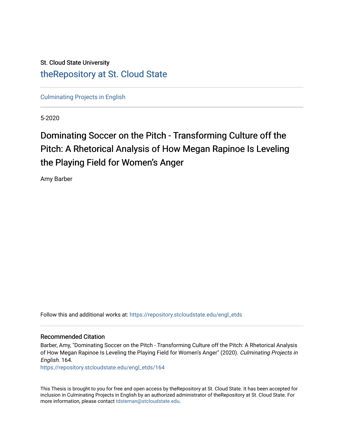# St. Cloud State University [theRepository at St. Cloud State](https://repository.stcloudstate.edu/)

[Culminating Projects in English](https://repository.stcloudstate.edu/engl_etds) 

5-2020

# Dominating Soccer on the Pitch - Transforming Culture off the Pitch: A Rhetorical Analysis of How Megan Rapinoe Is Leveling the Playing Field for Women's Anger

Amy Barber

Follow this and additional works at: [https://repository.stcloudstate.edu/engl\\_etds](https://repository.stcloudstate.edu/engl_etds?utm_source=repository.stcloudstate.edu%2Fengl_etds%2F164&utm_medium=PDF&utm_campaign=PDFCoverPages)

#### Recommended Citation

Barber, Amy, "Dominating Soccer on the Pitch - Transforming Culture off the Pitch: A Rhetorical Analysis of How Megan Rapinoe Is Leveling the Playing Field for Women's Anger" (2020). Culminating Projects in English. 164.

[https://repository.stcloudstate.edu/engl\\_etds/164](https://repository.stcloudstate.edu/engl_etds/164?utm_source=repository.stcloudstate.edu%2Fengl_etds%2F164&utm_medium=PDF&utm_campaign=PDFCoverPages)

This Thesis is brought to you for free and open access by theRepository at St. Cloud State. It has been accepted for inclusion in Culminating Projects in English by an authorized administrator of theRepository at St. Cloud State. For more information, please contact [tdsteman@stcloudstate.edu.](mailto:tdsteman@stcloudstate.edu)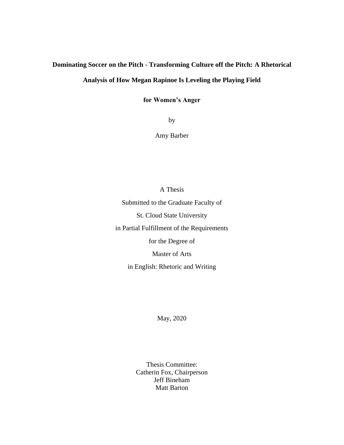# **Dominating Soccer on the Pitch - Transforming Culture off the Pitch: A Rhetorical**

## **Analysis of How Megan Rapinoe Is Leveling the Playing Field**

**for Women's Anger**

by

Amy Barber

A Thesis

Submitted to the Graduate Faculty of St. Cloud State University in Partial Fulfillment of the Requirements for the Degree of Master of Arts

in English: Rhetoric and Writing

May, 2020

Thesis Committee: Catherin Fox, Chairperson Jeff Bineham Matt Barton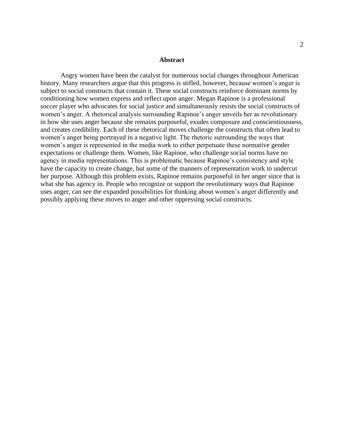#### **Abstract**

Angry women have been the catalyst for numerous social changes throughout American history. Many researchers argue that this progress is stifled, however, because women's anger is subject to social constructs that contain it. These social constructs reinforce dominant norms by conditioning how women express and reflect upon anger. Megan Rapinoe is a professional soccer player who advocates for social justice and simultaneously resists the social constructs of women's anger. A rhetorical analysis surrounding Rapinoe's anger unveils her as revolutionary in how she uses anger because she remains purposeful, exudes composure and conscientiousness, and creates credibility. Each of these rhetorical moves challenge the constructs that often lead to women's anger being portrayed in a negative light. The rhetoric surrounding the ways that women's anger is represented in the media work to either perpetuate these normative gender expectations or challenge them. Women, like Rapinoe, who challenge social norms have no agency in media representations. This is problematic because Rapinoe's consistency and style have the capacity to create change, but some of the manners of representation work to undercut her purpose. Although this problem exists, Rapinoe remains purposeful in her anger since that is what she has agency in. People who recognize or support the revolutionary ways that Rapinoe uses anger, can see the expanded possibilities for thinking about women's anger differently and possibly applying these moves to anger and other oppressing social constructs.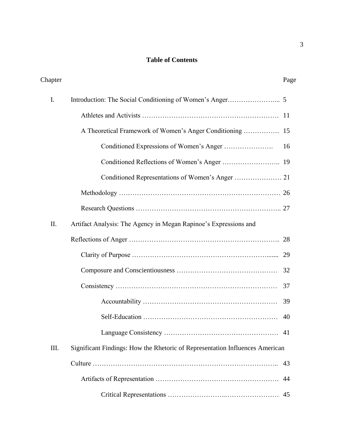### **Table of Contents**

| Chapter |                                                                              | Page |
|---------|------------------------------------------------------------------------------|------|
| I.      |                                                                              |      |
|         |                                                                              |      |
|         |                                                                              |      |
|         |                                                                              | 16   |
|         |                                                                              |      |
|         | Conditioned Representations of Women's Anger  21                             |      |
|         |                                                                              |      |
|         |                                                                              |      |
| Π.      | Artifact Analysis: The Agency in Megan Rapinoe's Expressions and             |      |
|         |                                                                              |      |
|         |                                                                              | 29   |
|         |                                                                              | 32   |
|         |                                                                              | 37   |
|         |                                                                              | 39   |
|         |                                                                              | 40   |
|         |                                                                              |      |
| III.    | Significant Findings: How the Rhetoric of Representation Influences American |      |
|         |                                                                              | 43   |
|         |                                                                              | 44   |
|         |                                                                              | 45   |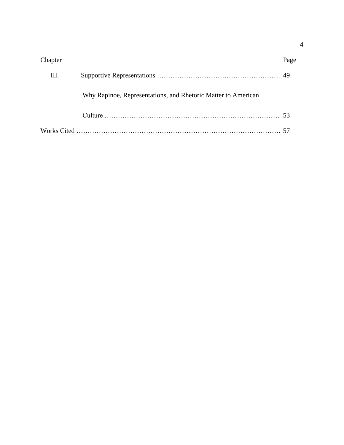| Chapter |                                                               | Page |
|---------|---------------------------------------------------------------|------|
| Ш.      |                                                               |      |
|         | Why Rapinoe, Representations, and Rhetoric Matter to American |      |
|         |                                                               |      |
|         |                                                               |      |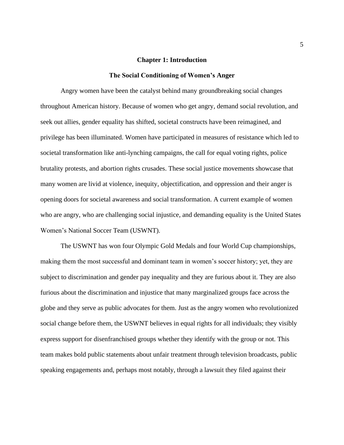#### **Chapter 1: Introduction**

#### **The Social Conditioning of Women's Anger**

Angry women have been the catalyst behind many groundbreaking social changes throughout American history. Because of women who get angry, demand social revolution, and seek out allies, gender equality has shifted, societal constructs have been reimagined, and privilege has been illuminated. Women have participated in measures of resistance which led to societal transformation like anti-lynching campaigns, the call for equal voting rights, police brutality protests, and abortion rights crusades. These social justice movements showcase that many women are livid at violence, inequity, objectification, and oppression and their anger is opening doors for societal awareness and social transformation. A current example of women who are angry, who are challenging social injustice, and demanding equality is the United States Women's National Soccer Team (USWNT).

The USWNT has won four Olympic Gold Medals and four World Cup championships, making them the most successful and dominant team in women's soccer history; yet, they are subject to discrimination and gender pay inequality and they are furious about it. They are also furious about the discrimination and injustice that many marginalized groups face across the globe and they serve as public advocates for them. Just as the angry women who revolutionized social change before them, the USWNT believes in equal rights for all individuals; they visibly express support for disenfranchised groups whether they identify with the group or not. This team makes bold public statements about unfair treatment through television broadcasts, public speaking engagements and, perhaps most notably, through a lawsuit they filed against their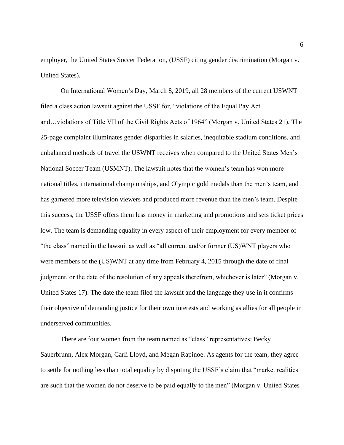employer, the United States Soccer Federation, (USSF) citing gender discrimination (Morgan v. United States).

On International Women's Day, March 8, 2019, all 28 members of the current USWNT filed a class action lawsuit against the USSF for, "violations of the Equal Pay Act and…violations of Title VII of the Civil Rights Acts of 1964" (Morgan v. United States 21). The 25-page complaint illuminates gender disparities in salaries, inequitable stadium conditions, and unbalanced methods of travel the USWNT receives when compared to the United States Men's National Soccer Team (USMNT). The lawsuit notes that the women's team has won more national titles, international championships, and Olympic gold medals than the men's team, and has garnered more television viewers and produced more revenue than the men's team. Despite this success, the USSF offers them less money in marketing and promotions and sets ticket prices low. The team is demanding equality in every aspect of their employment for every member of "the class" named in the lawsuit as well as "all current and/or former (US)WNT players who were members of the (US)WNT at any time from February 4, 2015 through the date of final judgment, or the date of the resolution of any appeals therefrom, whichever is later" (Morgan v. United States 17). The date the team filed the lawsuit and the language they use in it confirms their objective of demanding justice for their own interests and working as allies for all people in underserved communities.

There are four women from the team named as "class" representatives: Becky Sauerbrunn, Alex Morgan, Carli Lloyd, and Megan Rapinoe. As agents for the team, they agree to settle for nothing less than total equality by disputing the USSF's claim that "market realities are such that the women do not deserve to be paid equally to the men" (Morgan v. United States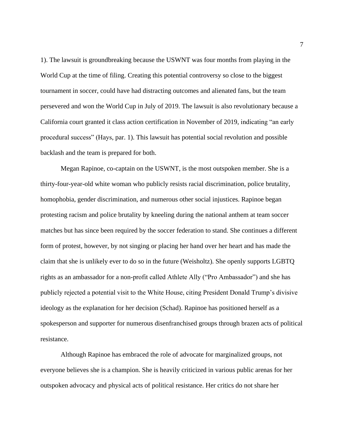1). The lawsuit is groundbreaking because the USWNT was four months from playing in the World Cup at the time of filing. Creating this potential controversy so close to the biggest tournament in soccer, could have had distracting outcomes and alienated fans, but the team persevered and won the World Cup in July of 2019. The lawsuit is also revolutionary because a California court granted it class action certification in November of 2019, indicating "an early procedural success" (Hays, par. 1). This lawsuit has potential social revolution and possible backlash and the team is prepared for both.

Megan Rapinoe, co-captain on the USWNT, is the most outspoken member. She is a thirty-four-year-old white woman who publicly resists racial discrimination, police brutality, homophobia, gender discrimination, and numerous other social injustices. Rapinoe began protesting racism and police brutality by kneeling during the national anthem at team soccer matches but has since been required by the soccer federation to stand. She continues a different form of protest, however, by not singing or placing her hand over her heart and has made the claim that she is unlikely ever to do so in the future (Weisholtz). She openly supports LGBTQ rights as an ambassador for a non-profit called Athlete Ally ("Pro Ambassador") and she has publicly rejected a potential visit to the White House, citing President Donald Trump's divisive ideology as the explanation for her decision (Schad). Rapinoe has positioned herself as a spokesperson and supporter for numerous disenfranchised groups through brazen acts of political resistance.

Although Rapinoe has embraced the role of advocate for marginalized groups, not everyone believes she is a champion. She is heavily criticized in various public arenas for her outspoken advocacy and physical acts of political resistance. Her critics do not share her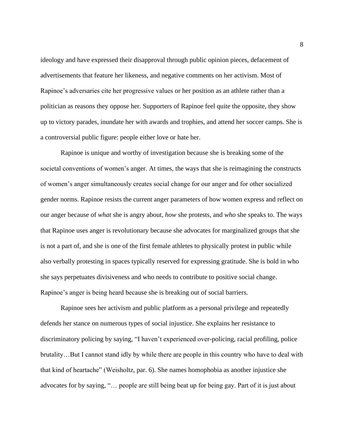ideology and have expressed their disapproval through public opinion pieces, defacement of advertisements that feature her likeness, and negative comments on her activism. Most of Rapinoe's adversaries cite her progressive values or her position as an athlete rather than a politician as reasons they oppose her. Supporters of Rapinoe feel quite the opposite, they show up to victory parades, inundate her with awards and trophies, and attend her soccer camps. She is a controversial public figure: people either love or hate her.

Rapinoe is unique and worthy of investigation because she is breaking some of the societal conventions of women's anger. At times, the ways that she is reimagining the constructs of women's anger simultaneously creates social change for our anger and for other socialized gender norms. Rapinoe resists the current anger parameters of how women express and reflect on our anger because of *what* she is angry about, *how* she protests, and *who* she speaks to. The ways that Rapinoe uses anger is revolutionary because she advocates for marginalized groups that she is not a part of, and she is one of the first female athletes to physically protest in public while also verbally protesting in spaces typically reserved for expressing gratitude. She is bold in who she says perpetuates divisiveness and who needs to contribute to positive social change. Rapinoe's anger is being heard because she is breaking out of social barriers.

Rapinoe sees her activism and public platform as a personal privilege and repeatedly defends her stance on numerous types of social injustice. She explains her resistance to discriminatory policing by saying, "I haven't experienced over-policing, racial profiling, police brutality…But I cannot stand idly by while there are people in this country who have to deal with that kind of heartache" (Weisholtz, par. 6). She names homophobia as another injustice she advocates for by saying, "… people are still being beat up for being gay. Part of it is just about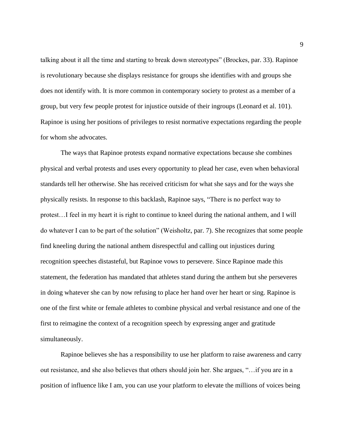talking about it all the time and starting to break down stereotypes" (Brockes, par. 33). Rapinoe is revolutionary because she displays resistance for groups she identifies with and groups she does not identify with. It is more common in contemporary society to protest as a member of a group, but very few people protest for injustice outside of their ingroups (Leonard et al. 101). Rapinoe is using her positions of privileges to resist normative expectations regarding the people for whom she advocates.

The ways that Rapinoe protests expand normative expectations because she combines physical and verbal protests and uses every opportunity to plead her case, even when behavioral standards tell her otherwise. She has received criticism for what she says and for the ways she physically resists. In response to this backlash, Rapinoe says, "There is no perfect way to protest…I feel in my heart it is right to continue to kneel during the national anthem, and I will do whatever I can to be part of the solution" (Weisholtz, par. 7). She recognizes that some people find kneeling during the national anthem disrespectful and calling out injustices during recognition speeches distasteful, but Rapinoe vows to persevere. Since Rapinoe made this statement, the federation has mandated that athletes stand during the anthem but she perseveres in doing whatever she can by now refusing to place her hand over her heart or sing. Rapinoe is one of the first white or female athletes to combine physical and verbal resistance and one of the first to reimagine the context of a recognition speech by expressing anger and gratitude simultaneously.

Rapinoe believes she has a responsibility to use her platform to raise awareness and carry out resistance, and she also believes that others should join her. She argues, "…if you are in a position of influence like I am, you can use your platform to elevate the millions of voices being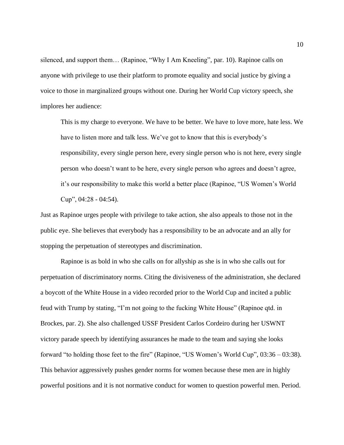silenced, and support them… (Rapinoe, "Why I Am Kneeling", par. 10). Rapinoe calls on anyone with privilege to use their platform to promote equality and social justice by giving a voice to those in marginalized groups without one. During her World Cup victory speech, she implores her audience:

This is my charge to everyone. We have to be better. We have to love more, hate less. We have to listen more and talk less. We've got to know that this is everybody's responsibility, every single person here, every single person who is not here, every single person who doesn't want to be here, every single person who agrees and doesn't agree, it's our responsibility to make this world a better place (Rapinoe, "US Women's World Cup", 04:28 - 04:54).

Just as Rapinoe urges people with privilege to take action, she also appeals to those not in the public eye. She believes that everybody has a responsibility to be an advocate and an ally for stopping the perpetuation of stereotypes and discrimination.

Rapinoe is as bold in who she calls on for allyship as she is in who she calls out for perpetuation of discriminatory norms. Citing the divisiveness of the administration, she declared a boycott of the White House in a video recorded prior to the World Cup and incited a public feud with Trump by stating, "I'm not going to the fucking White House" (Rapinoe qtd. in Brockes, par. 2). She also challenged USSF President Carlos Cordeiro during her USWNT victory parade speech by identifying assurances he made to the team and saying she looks forward "to holding those feet to the fire" (Rapinoe, "US Women's World Cup", 03:36 – 03:38). This behavior aggressively pushes gender norms for women because these men are in highly powerful positions and it is not normative conduct for women to question powerful men. Period.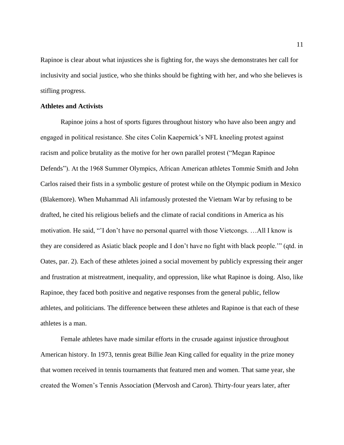Rapinoe is clear about what injustices she is fighting for, the ways she demonstrates her call for inclusivity and social justice, who she thinks should be fighting with her, and who she believes is stifling progress.

#### **Athletes and Activists**

Rapinoe joins a host of sports figures throughout history who have also been angry and engaged in political resistance. She cites Colin Kaepernick's NFL kneeling protest against racism and police brutality as the motive for her own parallel protest ("Megan Rapinoe Defends"). At the 1968 Summer Olympics, African American athletes Tommie Smith and John Carlos raised their fists in a symbolic gesture of protest while on the Olympic podium in Mexico (Blakemore). When Muhammad Ali infamously protested the Vietnam War by refusing to be drafted, he cited his religious beliefs and the climate of racial conditions in America as his motivation. He said, "'I don't have no personal quarrel with those Vietcongs. …All I know is they are considered as Asiatic black people and I don't have no fight with black people.'" (qtd. in Oates, par. 2). Each of these athletes joined a social movement by publicly expressing their anger and frustration at mistreatment, inequality, and oppression, like what Rapinoe is doing. Also, like Rapinoe, they faced both positive and negative responses from the general public, fellow athletes, and politicians. The difference between these athletes and Rapinoe is that each of these athletes is a man.

Female athletes have made similar efforts in the crusade against injustice throughout American history. In 1973, tennis great Billie Jean King called for equality in the prize money that women received in tennis tournaments that featured men and women. That same year, she created the Women's Tennis Association (Mervosh and Caron). Thirty-four years later, after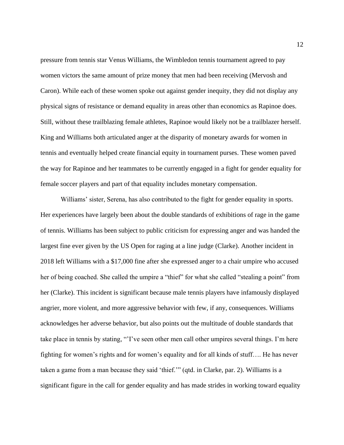pressure from tennis star Venus Williams, the Wimbledon tennis tournament agreed to pay women victors the same amount of prize money that men had been receiving (Mervosh and Caron). While each of these women spoke out against gender inequity, they did not display any physical signs of resistance or demand equality in areas other than economics as Rapinoe does. Still, without these trailblazing female athletes, Rapinoe would likely not be a trailblazer herself. King and Williams both articulated anger at the disparity of monetary awards for women in tennis and eventually helped create financial equity in tournament purses. These women paved the way for Rapinoe and her teammates to be currently engaged in a fight for gender equality for female soccer players and part of that equality includes monetary compensation.

Williams' sister, Serena, has also contributed to the fight for gender equality in sports. Her experiences have largely been about the double standards of exhibitions of rage in the game of tennis. Williams has been subject to public criticism for expressing anger and was handed the largest fine ever given by the US Open for raging at a line judge (Clarke). Another incident in 2018 left Williams with a \$17,000 fine after she expressed anger to a chair umpire who accused her of being coached. She called the umpire a "thief" for what she called "stealing a point" from her (Clarke). This incident is significant because male tennis players have infamously displayed angrier, more violent, and more aggressive behavior with few, if any, consequences. Williams acknowledges her adverse behavior, but also points out the multitude of double standards that take place in tennis by stating, "'I've seen other men call other umpires several things. I'm here fighting for women's rights and for women's equality and for all kinds of stuff…. He has never taken a game from a man because they said 'thief.'" (qtd. in Clarke, par. 2). Williams is a significant figure in the call for gender equality and has made strides in working toward equality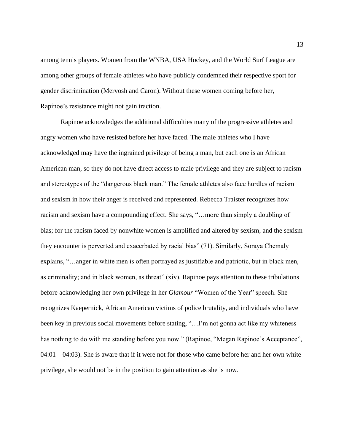among tennis players. Women from the WNBA, USA Hockey, and the World Surf League are among other groups of female athletes who have publicly condemned their respective sport for gender discrimination (Mervosh and Caron). Without these women coming before her, Rapinoe's resistance might not gain traction.

Rapinoe acknowledges the additional difficulties many of the progressive athletes and angry women who have resisted before her have faced. The male athletes who I have acknowledged may have the ingrained privilege of being a man, but each one is an African American man, so they do not have direct access to male privilege and they are subject to racism and stereotypes of the "dangerous black man." The female athletes also face hurdles of racism and sexism in how their anger is received and represented. Rebecca Traister recognizes how racism and sexism have a compounding effect. She says, "…more than simply a doubling of bias; for the racism faced by nonwhite women is amplified and altered by sexism, and the sexism they encounter is perverted and exacerbated by racial bias" (71). Similarly, Soraya Chemaly explains, "…anger in white men is often portrayed as justifiable and patriotic, but in black men, as criminality; and in black women, as threat" (xiv). Rapinoe pays attention to these tribulations before acknowledging her own privilege in her *Glamour* "Women of the Year" speech. She recognizes Kaepernick, African American victims of police brutality, and individuals who have been key in previous social movements before stating, "...I'm not gonna act like my whiteness has nothing to do with me standing before you now." (Rapinoe, "Megan Rapinoe's Acceptance",  $04:01 - 04:03$ ). She is aware that if it were not for those who came before her and her own white privilege, she would not be in the position to gain attention as she is now.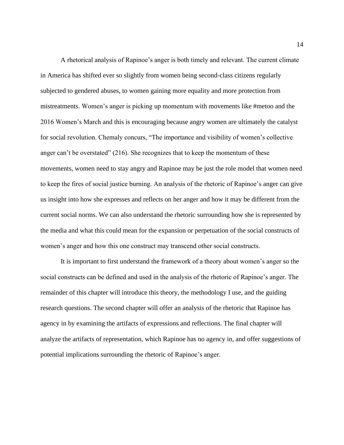A rhetorical analysis of Rapinoe's anger is both timely and relevant. The current climate in America has shifted ever so slightly from women being second-class citizens regularly subjected to gendered abuses, to women gaining more equality and more protection from mistreatments. Women's anger is picking up momentum with movements like #metoo and the 2016 Women's March and this is encouraging because angry women are ultimately the catalyst for social revolution. Chemaly concurs, "The importance and visibility of women's collective anger can't be overstated" (216). She recognizes that to keep the momentum of these movements, women need to stay angry and Rapinoe may be just the role model that women need to keep the fires of social justice burning. An analysis of the rhetoric of Rapinoe's anger can give us insight into how she expresses and reflects on her anger and how it may be different from the current social norms. We can also understand the rhetoric surrounding how she is represented by the media and what this could mean for the expansion or perpetuation of the social constructs of women's anger and how this one construct may transcend other social constructs.

It is important to first understand the framework of a theory about women's anger so the social constructs can be defined and used in the analysis of the rhetoric of Rapinoe's anger. The remainder of this chapter will introduce this theory, the methodology I use, and the guiding research questions. The second chapter will offer an analysis of the rhetoric that Rapinoe has agency in by examining the artifacts of expressions and reflections. The final chapter will analyze the artifacts of representation, which Rapinoe has no agency in, and offer suggestions of potential implications surrounding the rhetoric of Rapinoe's anger.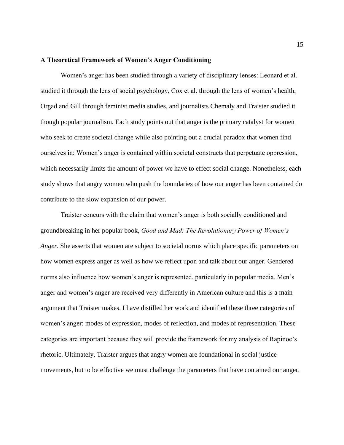#### **A Theoretical Framework of Women's Anger Conditioning**

Women's anger has been studied through a variety of disciplinary lenses: Leonard et al. studied it through the lens of social psychology, Cox et al. through the lens of women's health, Orgad and Gill through feminist media studies, and journalists Chemaly and Traister studied it though popular journalism. Each study points out that anger is the primary catalyst for women who seek to create societal change while also pointing out a crucial paradox that women find ourselves in: Women's anger is contained within societal constructs that perpetuate oppression, which necessarily limits the amount of power we have to effect social change. Nonetheless, each study shows that angry women who push the boundaries of how our anger has been contained do contribute to the slow expansion of our power.

Traister concurs with the claim that women's anger is both socially conditioned and groundbreaking in her popular book, *Good and Mad: The Revolutionary Power of Women's Anger*. She asserts that women are subject to societal norms which place specific parameters on how women express anger as well as how we reflect upon and talk about our anger. Gendered norms also influence how women's anger is represented, particularly in popular media. Men's anger and women's anger are received very differently in American culture and this is a main argument that Traister makes. I have distilled her work and identified these three categories of women's anger: modes of expression, modes of reflection, and modes of representation. These categories are important because they will provide the framework for my analysis of Rapinoe's rhetoric. Ultimately, Traister argues that angry women are foundational in social justice movements, but to be effective we must challenge the parameters that have contained our anger.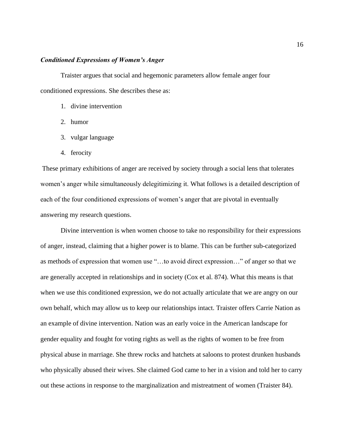#### *Conditioned Expressions of Women's Anger*

Traister argues that social and hegemonic parameters allow female anger four conditioned expressions. She describes these as:

- 1. divine intervention
- 2. humor
- 3. vulgar language
- 4. ferocity

These primary exhibitions of anger are received by society through a social lens that tolerates women's anger while simultaneously delegitimizing it. What follows is a detailed description of each of the four conditioned expressions of women's anger that are pivotal in eventually answering my research questions.

Divine intervention is when women choose to take no responsibility for their expressions of anger, instead, claiming that a higher power is to blame. This can be further sub-categorized as methods of expression that women use "…to avoid direct expression…" of anger so that we are generally accepted in relationships and in society (Cox et al. 874). What this means is that when we use this conditioned expression, we do not actually articulate that we are angry on our own behalf, which may allow us to keep our relationships intact. Traister offers Carrie Nation as an example of divine intervention. Nation was an early voice in the American landscape for gender equality and fought for voting rights as well as the rights of women to be free from physical abuse in marriage. She threw rocks and hatchets at saloons to protest drunken husbands who physically abused their wives. She claimed God came to her in a vision and told her to carry out these actions in response to the marginalization and mistreatment of women (Traister 84).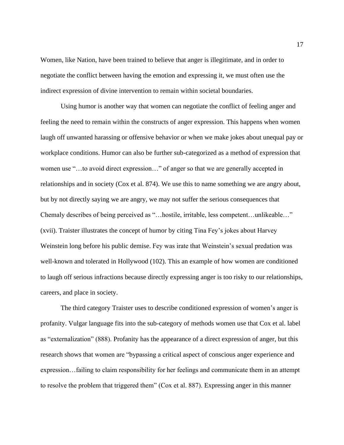Women, like Nation, have been trained to believe that anger is illegitimate, and in order to negotiate the conflict between having the emotion and expressing it, we must often use the indirect expression of divine intervention to remain within societal boundaries.

Using humor is another way that women can negotiate the conflict of feeling anger and feeling the need to remain within the constructs of anger expression. This happens when women laugh off unwanted harassing or offensive behavior or when we make jokes about unequal pay or workplace conditions. Humor can also be further sub-categorized as a method of expression that women use "…to avoid direct expression…" of anger so that we are generally accepted in relationships and in society (Cox et al. 874). We use this to name something we are angry about, but by not directly saying we are angry, we may not suffer the serious consequences that Chemaly describes of being perceived as "…hostile, irritable, less competent…unlikeable…" (xvii). Traister illustrates the concept of humor by citing Tina Fey's jokes about Harvey Weinstein long before his public demise. Fey was irate that Weinstein's sexual predation was well-known and tolerated in Hollywood (102). This an example of how women are conditioned to laugh off serious infractions because directly expressing anger is too risky to our relationships, careers, and place in society.

The third category Traister uses to describe conditioned expression of women's anger is profanity. Vulgar language fits into the sub-category of methods women use that Cox et al. label as "externalization" (888). Profanity has the appearance of a direct expression of anger, but this research shows that women are "bypassing a critical aspect of conscious anger experience and expression…failing to claim responsibility for her feelings and communicate them in an attempt to resolve the problem that triggered them" (Cox et al. 887). Expressing anger in this manner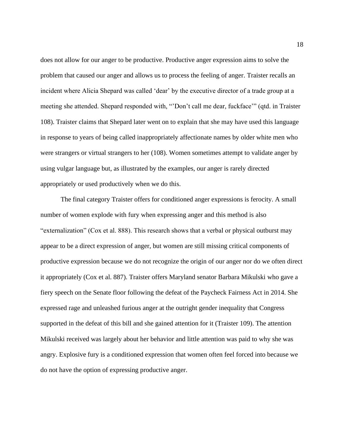does not allow for our anger to be productive. Productive anger expression aims to solve the problem that caused our anger and allows us to process the feeling of anger. Traister recalls an incident where Alicia Shepard was called 'dear' by the executive director of a trade group at a meeting she attended. Shepard responded with, "'Don't call me dear, fuckface'" (qtd. in Traister 108). Traister claims that Shepard later went on to explain that she may have used this language in response to years of being called inappropriately affectionate names by older white men who were strangers or virtual strangers to her (108). Women sometimes attempt to validate anger by using vulgar language but, as illustrated by the examples, our anger is rarely directed appropriately or used productively when we do this.

The final category Traister offers for conditioned anger expressions is ferocity. A small number of women explode with fury when expressing anger and this method is also "externalization" (Cox et al. 888). This research shows that a verbal or physical outburst may appear to be a direct expression of anger, but women are still missing critical components of productive expression because we do not recognize the origin of our anger nor do we often direct it appropriately (Cox et al. 887). Traister offers Maryland senator Barbara Mikulski who gave a fiery speech on the Senate floor following the defeat of the Paycheck Fairness Act in 2014. She expressed rage and unleashed furious anger at the outright gender inequality that Congress supported in the defeat of this bill and she gained attention for it (Traister 109). The attention Mikulski received was largely about her behavior and little attention was paid to why she was angry. Explosive fury is a conditioned expression that women often feel forced into because we do not have the option of expressing productive anger.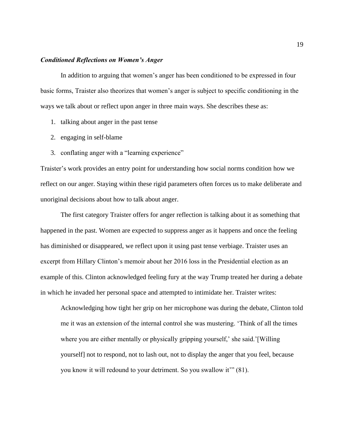#### *Conditioned Reflections on Women's Anger*

In addition to arguing that women's anger has been conditioned to be expressed in four basic forms, Traister also theorizes that women's anger is subject to specific conditioning in the ways we talk about or reflect upon anger in three main ways. She describes these as:

- 1. talking about anger in the past tense
- 2. engaging in self-blame
- 3. conflating anger with a "learning experience"

Traister's work provides an entry point for understanding how social norms condition how we reflect on our anger. Staying within these rigid parameters often forces us to make deliberate and unoriginal decisions about how to talk about anger.

The first category Traister offers for anger reflection is talking about it as something that happened in the past. Women are expected to suppress anger as it happens and once the feeling has diminished or disappeared, we reflect upon it using past tense verbiage. Traister uses an excerpt from Hillary Clinton's memoir about her 2016 loss in the Presidential election as an example of this. Clinton acknowledged feeling fury at the way Trump treated her during a debate in which he invaded her personal space and attempted to intimidate her. Traister writes:

Acknowledging how tight her grip on her microphone was during the debate, Clinton told me it was an extension of the internal control she was mustering. 'Think of all the times where you are either mentally or physically gripping yourself,' she said.'[Willing] yourself] not to respond, not to lash out, not to display the anger that you feel, because you know it will redound to your detriment. So you swallow it'" (81).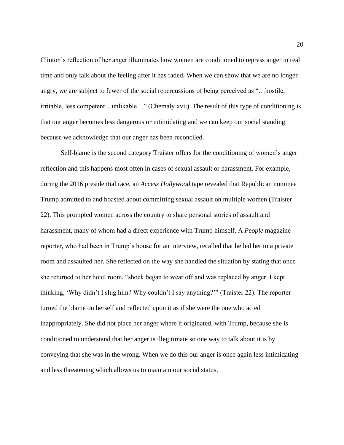Clinton's reflection of her anger illuminates how women are conditioned to repress anger in real time and only talk about the feeling after it has faded. When we can show that we are no longer angry, we are subject to fewer of the social repercussions of being perceived as "…hostile, irritable, less competent…unlikable…" (Chemaly xvii). The result of this type of conditioning is that our anger becomes less dangerous or intimidating and we can keep our social standing because we acknowledge that our anger has been reconciled.

Self-blame is the second category Traister offers for the conditioning of women's anger reflection and this happens most often in cases of sexual assault or harassment. For example, during the 2016 presidential race, an *Access Hollywood* tape revealed that Republican nominee Trump admitted to and boasted about committing sexual assault on multiple women (Traister 22). This prompted women across the country to share personal stories of assault and harassment, many of whom had a direct experience with Trump himself. A *People* magazine reporter, who had been in Trump's house for an interview, recalled that he led her to a private room and assaulted her. She reflected on the way she handled the situation by stating that once she returned to her hotel room, "shock began to wear off and was replaced by anger. I kept thinking, 'Why didn't I slug him? Why couldn't I say anything?'" (Traister 22). The reporter turned the blame on herself and reflected upon it as if she were the one who acted inappropriately. She did not place her anger where it originated, with Trump, because she is conditioned to understand that her anger is illegitimate so one way to talk about it is by conveying that she was in the wrong. When we do this our anger is once again less intimidating and less threatening which allows us to maintain our social status.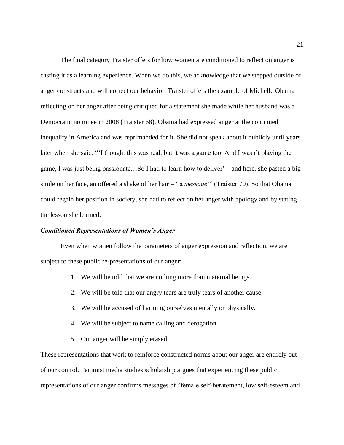The final category Traister offers for how women are conditioned to reflect on anger is casting it as a learning experience. When we do this, we acknowledge that we stepped outside of anger constructs and will correct our behavior. Traister offers the example of Michelle Obama reflecting on her anger after being critiqued for a statement she made while her husband was a Democratic nominee in 2008 (Traister 68). Obama had expressed anger at the continued inequality in America and was reprimanded for it. She did not speak about it publicly until years later when she said, "'I thought this was real, but it was a game too. And I wasn't playing the game, I was just being passionate…So I had to learn how to deliver' – and here, she pasted a big smile on her face, an offered a shake of her hair – ' a *message*'" (Traister 70). So that Obama could regain her position in society, she had to reflect on her anger with apology and by stating the lesson she learned.

#### *Conditioned Representations of Women's Anger*

Even when women follow the parameters of anger expression and reflection, we are subject to these public re-presentations of our anger:

- 1. We will be told that we are nothing more than maternal beings.
- 2. We will be told that our angry tears are truly tears of another cause.
- 3. We will be accused of harming ourselves mentally or physically.
- 4. We will be subject to name calling and derogation.
- 5. Our anger will be simply erased.

These representations that work to reinforce constructed norms about our anger are entirely out of our control. Feminist media studies scholarship argues that experiencing these public representations of our anger confirms messages of "female self-beratement, low self-esteem and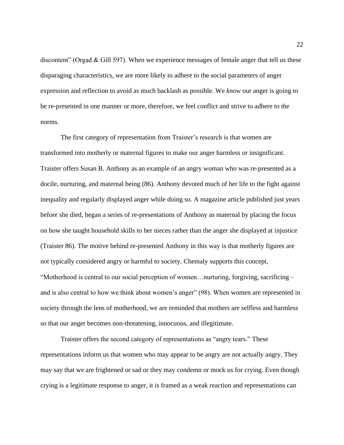discontent" (Orgad & Gill 597). When we experience messages of female anger that tell us these disparaging characteristics, we are more likely to adhere to the social parameters of anger expression and reflection to avoid as much backlash as possible. We *know* our anger is going to be re-presented in one manner or more, therefore, we feel conflict and strive to adhere to the norms.

The first category of representation from Traister's research is that women are transformed into motherly or maternal figures to make our anger harmless or insignificant. Traister offers Susan B. Anthony as an example of an angry woman who was re-presented as a docile, nurturing, and maternal being (86). Anthony devoted much of her life to the fight against inequality and regularly displayed anger while doing so. A magazine article published just years before she died, began a series of re-presentations of Anthony as maternal by placing the focus on how she taught household skills to her nieces rather than the anger she displayed at injustice (Traister 86). The motive behind re-presented Anthony in this way is that motherly figures are not typically considered angry or harmful to society. Chemaly supports this concept, "Motherhood is central to our social perception of women…nurturing, forgiving, sacrificing – and is also central to how we think about women's anger" (98). When women are represented in society through the lens of motherhood, we are reminded that mothers are selfless and harmless so that our anger becomes non-threatening, innocuous, and illegitimate.

Traister offers the second category of representations as "angry tears." These representations inform us that women who may appear to be angry are not actually angry. They may say that we are frightened or sad or they may condemn or mock us for crying. Even though crying is a legitimate response to anger, it is framed as a weak reaction and representations can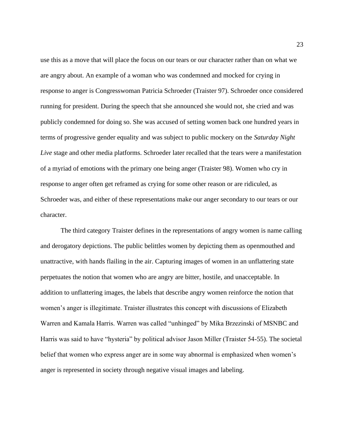use this as a move that will place the focus on our tears or our character rather than on what we are angry about. An example of a woman who was condemned and mocked for crying in response to anger is Congresswoman Patricia Schroeder (Traister 97). Schroeder once considered running for president. During the speech that she announced she would not, she cried and was publicly condemned for doing so. She was accused of setting women back one hundred years in terms of progressive gender equality and was subject to public mockery on the *Saturday Night Live* stage and other media platforms. Schroeder later recalled that the tears were a manifestation of a myriad of emotions with the primary one being anger (Traister 98). Women who cry in response to anger often get reframed as crying for some other reason or are ridiculed, as Schroeder was, and either of these representations make our anger secondary to our tears or our character.

The third category Traister defines in the representations of angry women is name calling and derogatory depictions. The public belittles women by depicting them as openmouthed and unattractive, with hands flailing in the air. Capturing images of women in an unflattering state perpetuates the notion that women who are angry are bitter, hostile, and unacceptable. In addition to unflattering images, the labels that describe angry women reinforce the notion that women's anger is illegitimate. Traister illustrates this concept with discussions of Elizabeth Warren and Kamala Harris. Warren was called "unhinged" by Mika Brzezinski of MSNBC and Harris was said to have "hysteria" by political advisor Jason Miller (Traister 54-55). The societal belief that women who express anger are in some way abnormal is emphasized when women's anger is represented in society through negative visual images and labeling.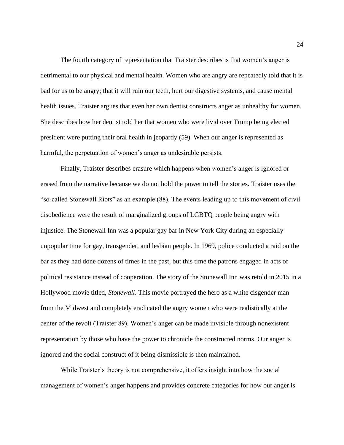The fourth category of representation that Traister describes is that women's anger is detrimental to our physical and mental health. Women who are angry are repeatedly told that it is bad for us to be angry; that it will ruin our teeth, hurt our digestive systems, and cause mental health issues. Traister argues that even her own dentist constructs anger as unhealthy for women. She describes how her dentist told her that women who were livid over Trump being elected president were putting their oral health in jeopardy (59). When our anger is represented as harmful, the perpetuation of women's anger as undesirable persists.

Finally, Traister describes erasure which happens when women's anger is ignored or erased from the narrative because we do not hold the power to tell the stories. Traister uses the "so-called Stonewall Riots" as an example (88). The events leading up to this movement of civil disobedience were the result of marginalized groups of LGBTQ people being angry with injustice. The Stonewall Inn was a popular gay bar in New York City during an especially unpopular time for gay, transgender, and lesbian people. In 1969, police conducted a raid on the bar as they had done dozens of times in the past, but this time the patrons engaged in acts of political resistance instead of cooperation. The story of the Stonewall Inn was retold in 2015 in a Hollywood movie titled, *Stonewall*. This movie portrayed the hero as a white cisgender man from the Midwest and completely eradicated the angry women who were realistically at the center of the revolt (Traister 89). Women's anger can be made invisible through nonexistent representation by those who have the power to chronicle the constructed norms. Our anger is ignored and the social construct of it being dismissible is then maintained.

While Traister's theory is not comprehensive, it offers insight into how the social management of women's anger happens and provides concrete categories for how our anger is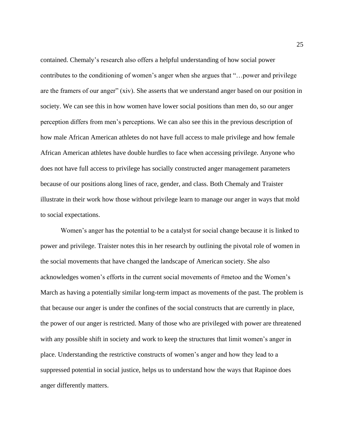contained. Chemaly's research also offers a helpful understanding of how social power contributes to the conditioning of women's anger when she argues that "…power and privilege are the framers of our anger" (xiv). She asserts that we understand anger based on our position in society. We can see this in how women have lower social positions than men do, so our anger perception differs from men's perceptions. We can also see this in the previous description of how male African American athletes do not have full access to male privilege and how female African American athletes have double hurdles to face when accessing privilege. Anyone who does not have full access to privilege has socially constructed anger management parameters because of our positions along lines of race, gender, and class. Both Chemaly and Traister illustrate in their work how those without privilege learn to manage our anger in ways that mold to social expectations.

Women's anger has the potential to be a catalyst for social change because it is linked to power and privilege. Traister notes this in her research by outlining the pivotal role of women in the social movements that have changed the landscape of American society. She also acknowledges women's efforts in the current social movements of #metoo and the Women's March as having a potentially similar long-term impact as movements of the past. The problem is that because our anger is under the confines of the social constructs that are currently in place, the power of our anger is restricted. Many of those who are privileged with power are threatened with any possible shift in society and work to keep the structures that limit women's anger in place. Understanding the restrictive constructs of women's anger and how they lead to a suppressed potential in social justice, helps us to understand how the ways that Rapinoe does anger differently matters.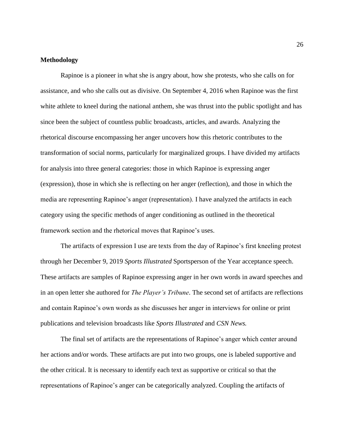#### **Methodology**

Rapinoe is a pioneer in what she is angry about, how she protests, who she calls on for assistance, and who she calls out as divisive. On September 4, 2016 when Rapinoe was the first white athlete to kneel during the national anthem, she was thrust into the public spotlight and has since been the subject of countless public broadcasts, articles, and awards. Analyzing the rhetorical discourse encompassing her anger uncovers how this rhetoric contributes to the transformation of social norms, particularly for marginalized groups. I have divided my artifacts for analysis into three general categories: those in which Rapinoe is expressing anger (expression), those in which she is reflecting on her anger (reflection), and those in which the media are representing Rapinoe's anger (representation). I have analyzed the artifacts in each category using the specific methods of anger conditioning as outlined in the theoretical framework section and the rhetorical moves that Rapinoe's uses.

The artifacts of expression I use are texts from the day of Rapinoe's first kneeling protest through her December 9, 2019 *Sports Illustrated* Sportsperson of the Year acceptance speech. These artifacts are samples of Rapinoe expressing anger in her own words in award speeches and in an open letter she authored for *The Player's Tribune*. The second set of artifacts are reflections and contain Rapinoe's own words as she discusses her anger in interviews for online or print publications and television broadcasts like *Sports Illustrated* and *CSN News.* 

The final set of artifacts are the representations of Rapinoe's anger which center around her actions and/or words. These artifacts are put into two groups, one is labeled supportive and the other critical. It is necessary to identify each text as supportive or critical so that the representations of Rapinoe's anger can be categorically analyzed. Coupling the artifacts of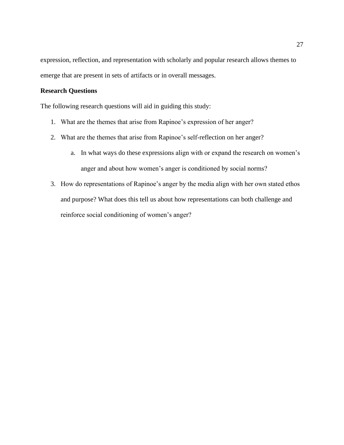expression, reflection, and representation with scholarly and popular research allows themes to emerge that are present in sets of artifacts or in overall messages.

#### **Research Questions**

The following research questions will aid in guiding this study:

- 1. What are the themes that arise from Rapinoe's expression of her anger?
- 2. What are the themes that arise from Rapinoe's self-reflection on her anger?
	- a. In what ways do these expressions align with or expand the research on women's anger and about how women's anger is conditioned by social norms?
- 3. How do representations of Rapinoe's anger by the media align with her own stated ethos and purpose? What does this tell us about how representations can both challenge and reinforce social conditioning of women's anger?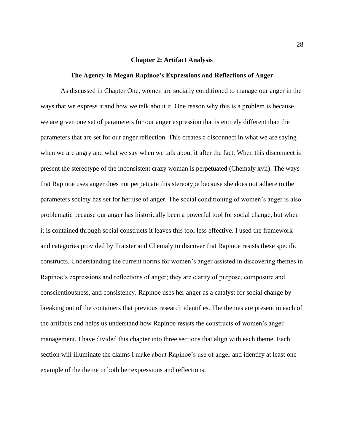#### **Chapter 2: Artifact Analysis**

#### **The Agency in Megan Rapinoe's Expressions and Reflections of Anger**

As discussed in Chapter One, women are socially conditioned to manage our anger in the ways that we express it and how we talk about it. One reason why this is a problem is because we are given one set of parameters for our anger expression that is entirely different than the parameters that are set for our anger reflection. This creates a disconnect in what we are saying when we are angry and what we say when we talk about it after the fact. When this disconnect is present the stereotype of the inconsistent crazy woman is perpetuated (Chemaly xvii). The ways that Rapinoe uses anger does not perpetuate this stereotype because she does not adhere to the parameters society has set for her use of anger. The social conditioning of women's anger is also problematic because our anger has historically been a powerful tool for social change, but when it is contained through social constructs it leaves this tool less effective. I used the framework and categories provided by Traister and Chemaly to discover that Rapinoe resists these specific constructs. Understanding the current norms for women's anger assisted in discovering themes in Rapinoe's expressions and reflections of anger; they are clarity of purpose, composure and conscientiousness, and consistency. Rapinoe uses her anger as a catalyst for social change by breaking out of the containers that previous research identifies. The themes are present in each of the artifacts and helps us understand how Rapinoe resists the constructs of women's anger management. I have divided this chapter into three sections that align with each theme. Each section will illuminate the claims I make about Rapinoe's use of anger and identify at least one example of the theme in both her expressions and reflections.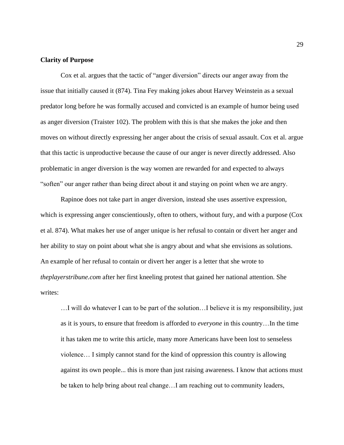#### **Clarity of Purpose**

Cox et al. argues that the tactic of "anger diversion" directs our anger away from the issue that initially caused it (874). Tina Fey making jokes about Harvey Weinstein as a sexual predator long before he was formally accused and convicted is an example of humor being used as anger diversion (Traister 102). The problem with this is that she makes the joke and then moves on without directly expressing her anger about the crisis of sexual assault. Cox et al. argue that this tactic is unproductive because the cause of our anger is never directly addressed. Also problematic in anger diversion is the way women are rewarded for and expected to always "soften" our anger rather than being direct about it and staying on point when we are angry.

Rapinoe does not take part in anger diversion, instead she uses assertive expression, which is expressing anger conscientiously, often to others, without fury, and with a purpose (Cox et al. 874). What makes her use of anger unique is her refusal to contain or divert her anger and her ability to stay on point about what she is angry about and what she envisions as solutions. An example of her refusal to contain or divert her anger is a letter that she wrote to *theplayerstribune.com* after her first kneeling protest that gained her national attention. She writes:

…I will do whatever I can to be part of the solution…I believe it is my responsibility, just as it is yours, to ensure that freedom is afforded to *everyone* in this country…In the time it has taken me to write this article, many more Americans have been lost to senseless violence… I simply cannot stand for the kind of oppression this country is allowing against its own people... this is more than just raising awareness. I know that actions must be taken to help bring about real change…I am reaching out to community leaders,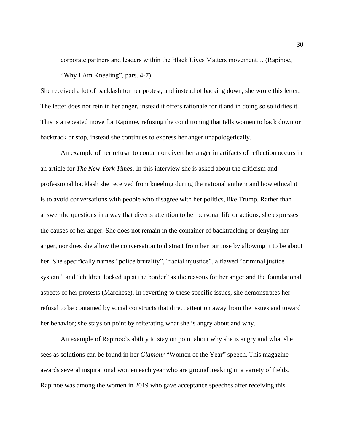corporate partners and leaders within the Black Lives Matters movement… (Rapinoe, "Why I Am Kneeling", pars. 4-7)

She received a lot of backlash for her protest, and instead of backing down, she wrote this letter. The letter does not rein in her anger, instead it offers rationale for it and in doing so solidifies it. This is a repeated move for Rapinoe, refusing the conditioning that tells women to back down or backtrack or stop, instead she continues to express her anger unapologetically.

An example of her refusal to contain or divert her anger in artifacts of reflection occurs in an article for *The New York Times*. In this interview she is asked about the criticism and professional backlash she received from kneeling during the national anthem and how ethical it is to avoid conversations with people who disagree with her politics, like Trump. Rather than answer the questions in a way that diverts attention to her personal life or actions, she expresses the causes of her anger. She does not remain in the container of backtracking or denying her anger, nor does she allow the conversation to distract from her purpose by allowing it to be about her. She specifically names "police brutality", "racial injustice", a flawed "criminal justice system", and "children locked up at the border" as the reasons for her anger and the foundational aspects of her protests (Marchese). In reverting to these specific issues, she demonstrates her refusal to be contained by social constructs that direct attention away from the issues and toward her behavior; she stays on point by reiterating what she is angry about and why.

An example of Rapinoe's ability to stay on point about why she is angry and what she sees as solutions can be found in her *Glamour* "Women of the Year" speech. This magazine awards several inspirational women each year who are groundbreaking in a variety of fields. Rapinoe was among the women in 2019 who gave acceptance speeches after receiving this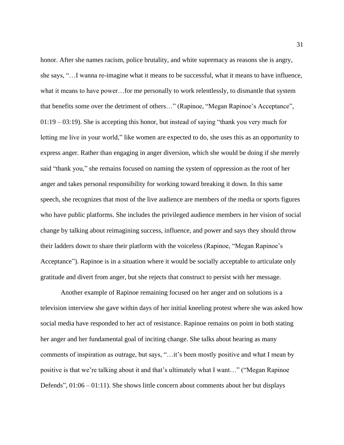honor. After she names racism, police brutality, and white supremacy as reasons she is angry, she says, "…I wanna re-imagine what it means to be successful, what it means to have influence, what it means to have power…for me personally to work relentlessly, to dismantle that system that benefits some over the detriment of others…" (Rapinoe, "Megan Rapinoe's Acceptance", 01:19 – 03:19). She is accepting this honor, but instead of saying "thank you very much for letting me live in your world," like women are expected to do, she uses this as an opportunity to express anger. Rather than engaging in anger diversion, which she would be doing if she merely said "thank you," she remains focused on naming the system of oppression as the root of her anger and takes personal responsibility for working toward breaking it down. In this same speech, she recognizes that most of the live audience are members of the media or sports figures who have public platforms. She includes the privileged audience members in her vision of social change by talking about reimagining success, influence, and power and says they should throw their ladders down to share their platform with the voiceless (Rapinoe, "Megan Rapinoe's Acceptance"). Rapinoe is in a situation where it would be socially acceptable to articulate only gratitude and divert from anger, but she rejects that construct to persist with her message.

Another example of Rapinoe remaining focused on her anger and on solutions is a television interview she gave within days of her initial kneeling protest where she was asked how social media have responded to her act of resistance. Rapinoe remains on point in both stating her anger and her fundamental goal of inciting change. She talks about hearing as many comments of inspiration as outrage, but says, "…it's been mostly positive and what I mean by positive is that we're talking about it and that's ultimately what I want…" ("Megan Rapinoe Defends",  $01:06 - 01:11$ ). She shows little concern about comments about her but displays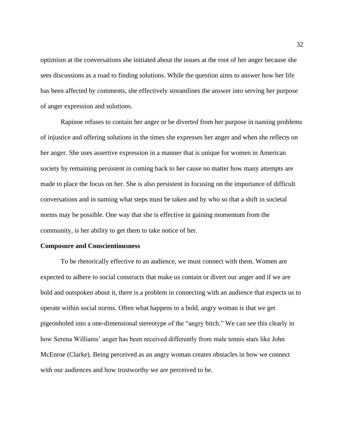optimism at the conversations she initiated about the issues at the root of her anger because she sees discussions as a road to finding solutions. While the question aims to answer how her life has been affected by comments, she effectively streamlines the answer into serving her purpose of anger expression and solutions.

Rapinoe refuses to contain her anger or be diverted from her purpose in naming problems of injustice and offering solutions in the times she expresses her anger and when she reflects on her anger. She uses assertive expression in a manner that is unique for women in American society by remaining persistent in coming back to her cause no matter how many attempts are made to place the focus on her. She is also persistent in focusing on the importance of difficult conversations and in naming what steps must be taken and by who so that a shift in societal norms may be possible. One way that she is effective in gaining momentum from the community, is her ability to get them to take notice of her.

#### **Composure and Conscientiousness**

To be rhetorically effective to an audience, we must connect with them. Women are expected to adhere to social constructs that make us contain or divert our anger and if we are bold and outspoken about it, there is a problem in connecting with an audience that expects us to operate within social norms. Often what happens to a bold, angry woman is that we get pigeonholed into a one-dimensional stereotype of the "angry bitch." We can see this clearly in how Serena Williams' anger has been received differently from male tennis stars like John McEnroe (Clarke). Being perceived as an angry woman creates obstacles in how we connect with our audiences and how trustworthy we are perceived to be.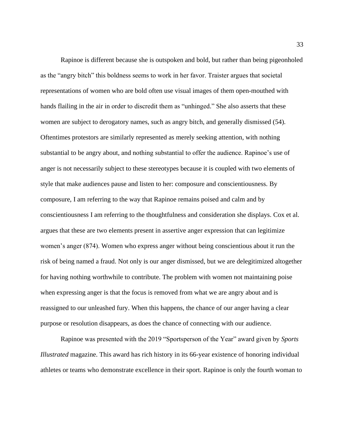Rapinoe is different because she is outspoken and bold, but rather than being pigeonholed as the "angry bitch" this boldness seems to work in her favor. Traister argues that societal representations of women who are bold often use visual images of them open-mouthed with hands flailing in the air in order to discredit them as "unhinged." She also asserts that these women are subject to derogatory names, such as angry bitch, and generally dismissed (54). Oftentimes protestors are similarly represented as merely seeking attention, with nothing substantial to be angry about, and nothing substantial to offer the audience. Rapinoe's use of anger is not necessarily subject to these stereotypes because it is coupled with two elements of style that make audiences pause and listen to her: composure and conscientiousness. By composure, I am referring to the way that Rapinoe remains poised and calm and by conscientiousness I am referring to the thoughtfulness and consideration she displays. Cox et al. argues that these are two elements present in assertive anger expression that can legitimize women's anger (874). Women who express anger without being conscientious about it run the risk of being named a fraud. Not only is our anger dismissed, but we are delegitimized altogether for having nothing worthwhile to contribute. The problem with women not maintaining poise when expressing anger is that the focus is removed from what we are angry about and is reassigned to our unleashed fury. When this happens, the chance of our anger having a clear purpose or resolution disappears, as does the chance of connecting with our audience.

Rapinoe was presented with the 2019 "Sportsperson of the Year" award given by *Sports Illustrated* magazine. This award has rich history in its 66-year existence of honoring individual athletes or teams who demonstrate excellence in their sport. Rapinoe is only the fourth woman to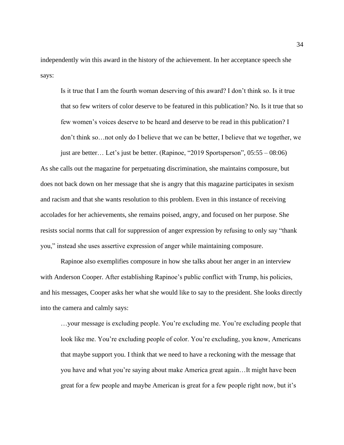independently win this award in the history of the achievement. In her acceptance speech she says:

Is it true that I am the fourth woman deserving of this award? I don't think so. Is it true that so few writers of color deserve to be featured in this publication? No. Is it true that so few women's voices deserve to be heard and deserve to be read in this publication? I don't think so…not only do I believe that we can be better, I believe that we together, we just are better… Let's just be better. (Rapinoe, "2019 Sportsperson", 05:55 – 08:06)

As she calls out the magazine for perpetuating discrimination, she maintains composure, but does not back down on her message that she is angry that this magazine participates in sexism and racism and that she wants resolution to this problem. Even in this instance of receiving accolades for her achievements, she remains poised, angry, and focused on her purpose. She resists social norms that call for suppression of anger expression by refusing to only say "thank you," instead she uses assertive expression of anger while maintaining composure.

Rapinoe also exemplifies composure in how she talks about her anger in an interview with Anderson Cooper. After establishing Rapinoe's public conflict with Trump, his policies, and his messages, Cooper asks her what she would like to say to the president. She looks directly into the camera and calmly says:

…your message is excluding people. You're excluding me. You're excluding people that look like me. You're excluding people of color. You're excluding, you know, Americans that maybe support you. I think that we need to have a reckoning with the message that you have and what you're saying about make America great again…It might have been great for a few people and maybe American is great for a few people right now, but it's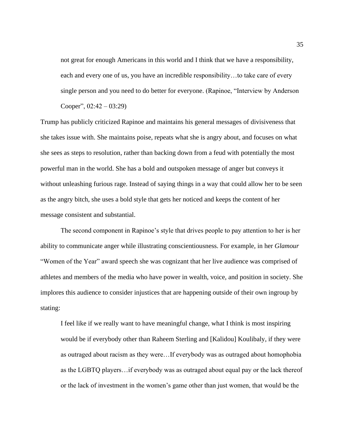not great for enough Americans in this world and I think that we have a responsibility, each and every one of us, you have an incredible responsibility…to take care of every single person and you need to do better for everyone. (Rapinoe, "Interview by Anderson Cooper",  $02:42 - 03:29$ )

Trump has publicly criticized Rapinoe and maintains his general messages of divisiveness that she takes issue with. She maintains poise, repeats what she is angry about, and focuses on what she sees as steps to resolution, rather than backing down from a feud with potentially the most powerful man in the world. She has a bold and outspoken message of anger but conveys it without unleashing furious rage. Instead of saying things in a way that could allow her to be seen as the angry bitch, she uses a bold style that gets her noticed and keeps the content of her message consistent and substantial.

The second component in Rapinoe's style that drives people to pay attention to her is her ability to communicate anger while illustrating conscientiousness. For example, in her *Glamour* "Women of the Year" award speech she was cognizant that her live audience was comprised of athletes and members of the media who have power in wealth, voice, and position in society. She implores this audience to consider injustices that are happening outside of their own ingroup by stating:

I feel like if we really want to have meaningful change, what I think is most inspiring would be if everybody other than Raheem Sterling and [Kalidou] Koulibaly, if they were as outraged about racism as they were…If everybody was as outraged about homophobia as the LGBTQ players…if everybody was as outraged about equal pay or the lack thereof or the lack of investment in the women's game other than just women, that would be the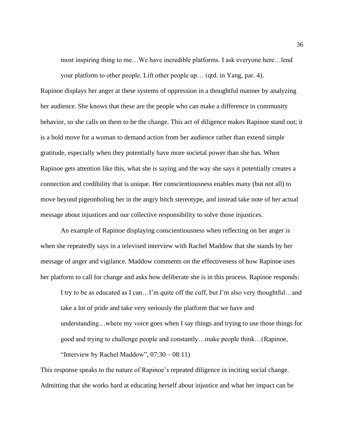most inspiring thing to me…We have incredible platforms. I ask everyone here…lend

your platform to other people. Lift other people up… (qtd. in Yang, par. 4). Rapinoe displays her anger at these systems of oppression in a thoughtful manner by analyzing her audience. She knows that these are the people who can make a difference in community behavior, so she calls on them to be the change. This act of diligence makes Rapinoe stand out; it is a bold move for a woman to demand action from her audience rather than extend simple gratitude, especially when they potentially have more societal power than she has. When Rapinoe gets attention like this, what she is saying and the way she says it potentially creates a connection and credibility that is unique. Her conscientiousness enables many (but not all) to move beyond pigeonholing her in the angry bitch stereotype, and instead take note of her actual message about injustices and our collective responsibility to solve those injustices.

An example of Rapinoe displaying conscientiousness when reflecting on her anger is when she repeatedly says in a televised interview with Rachel Maddow that she stands by her message of anger and vigilance. Maddow comments on the effectiveness of how Rapinoe uses her platform to call for change and asks how deliberate she is in this process. Rapinoe responds:

I try to be as educated as I can…I'm quite off the cuff, but I'm also very thoughtful…and take a lot of pride and take very seriously the platform that we have and understanding…where my voice goes when I say things and trying to use those things for good and trying to challenge people and constantly…make people think…(Rapinoe, "Interview by Rachel Maddow",  $07:30 - 08:11$ )

This response speaks to the nature of Rapinoe's repeated diligence in inciting social change. Admitting that she works hard at educating herself about injustice and what her impact can be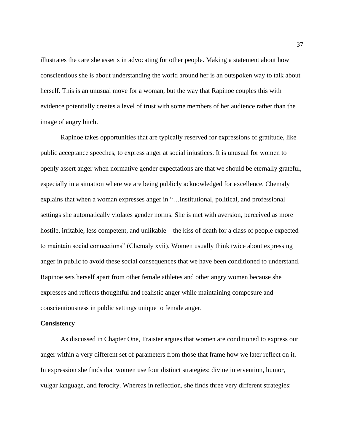illustrates the care she asserts in advocating for other people. Making a statement about how conscientious she is about understanding the world around her is an outspoken way to talk about herself. This is an unusual move for a woman, but the way that Rapinoe couples this with evidence potentially creates a level of trust with some members of her audience rather than the image of angry bitch.

Rapinoe takes opportunities that are typically reserved for expressions of gratitude, like public acceptance speeches, to express anger at social injustices. It is unusual for women to openly assert anger when normative gender expectations are that we should be eternally grateful, especially in a situation where we are being publicly acknowledged for excellence. Chemaly explains that when a woman expresses anger in "…institutional, political, and professional settings she automatically violates gender norms. She is met with aversion, perceived as more hostile, irritable, less competent, and unlikable – the kiss of death for a class of people expected to maintain social connections" (Chemaly xvii). Women usually think twice about expressing anger in public to avoid these social consequences that we have been conditioned to understand. Rapinoe sets herself apart from other female athletes and other angry women because she expresses and reflects thoughtful and realistic anger while maintaining composure and conscientiousness in public settings unique to female anger.

#### **Consistency**

As discussed in Chapter One, Traister argues that women are conditioned to express our anger within a very different set of parameters from those that frame how we later reflect on it. In expression she finds that women use four distinct strategies: divine intervention, humor, vulgar language, and ferocity. Whereas in reflection, she finds three very different strategies: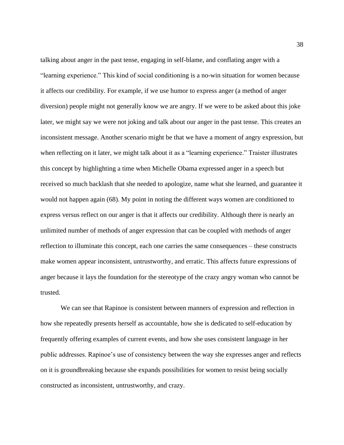talking about anger in the past tense, engaging in self-blame, and conflating anger with a "learning experience." This kind of social conditioning is a no-win situation for women because it affects our credibility. For example, if we use humor to express anger (a method of anger diversion) people might not generally know we are angry. If we were to be asked about this joke later, we might say we were not joking and talk about our anger in the past tense. This creates an inconsistent message. Another scenario might be that we have a moment of angry expression, but when reflecting on it later, we might talk about it as a "learning experience." Traister illustrates this concept by highlighting a time when Michelle Obama expressed anger in a speech but received so much backlash that she needed to apologize, name what she learned, and guarantee it would not happen again (68). My point in noting the different ways women are conditioned to express versus reflect on our anger is that it affects our credibility. Although there is nearly an unlimited number of methods of anger expression that can be coupled with methods of anger reflection to illuminate this concept, each one carries the same consequences – these constructs make women appear inconsistent, untrustworthy, and erratic. This affects future expressions of anger because it lays the foundation for the stereotype of the crazy angry woman who cannot be trusted.

We can see that Rapinoe is consistent between manners of expression and reflection in how she repeatedly presents herself as accountable, how she is dedicated to self-education by frequently offering examples of current events, and how she uses consistent language in her public addresses. Rapinoe's use of consistency between the way she expresses anger and reflects on it is groundbreaking because she expands possibilities for women to resist being socially constructed as inconsistent, untrustworthy, and crazy.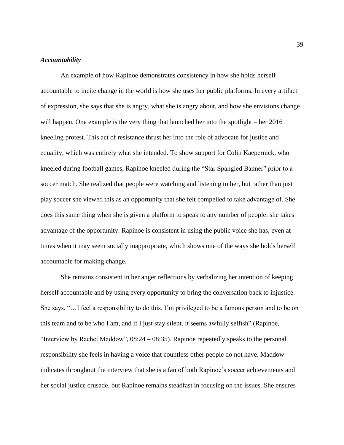#### *Accountability*

An example of how Rapinoe demonstrates consistency in how she holds herself accountable to incite change in the world is how she uses her public platforms. In every artifact of expression, she says that she is angry, what she is angry about, and how she envisions change will happen. One example is the very thing that launched her into the spotlight – her 2016 kneeling protest. This act of resistance thrust her into the role of advocate for justice and equality, which was entirely what she intended. To show support for Colin Kaepernick, who kneeled during football games, Rapinoe kneeled during the "Star Spangled Banner" prior to a soccer match. She realized that people were watching and listening to her, but rather than just play soccer she viewed this as an opportunity that she felt compelled to take advantage of. She does this same thing when she is given a platform to speak to any number of people: she takes advantage of the opportunity. Rapinoe is consistent in using the public voice she has, even at times when it may seem socially inappropriate, which shows one of the ways she holds herself accountable for making change.

She remains consistent in her anger reflections by verbalizing her intention of keeping herself accountable and by using every opportunity to bring the conversation back to injustice. She says, "…I feel a responsibility to do this. I'm privileged to be a famous person and to be on this team and to be who I am, and if I just stay silent, it seems awfully selfish" (Rapinoe, "Interview by Rachel Maddow", 08:24 – 08:35). Rapinoe repeatedly speaks to the personal responsibility she feels in having a voice that countless other people do not have. Maddow indicates throughout the interview that she is a fan of both Rapinoe's soccer achievements and her social justice crusade, but Rapinoe remains steadfast in focusing on the issues. She ensures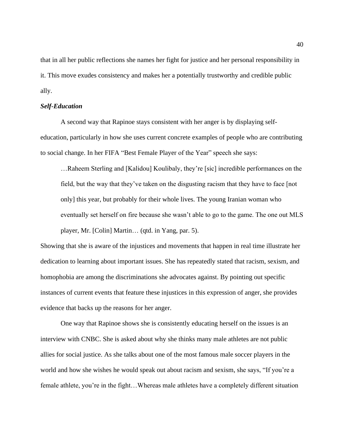that in all her public reflections she names her fight for justice and her personal responsibility in it. This move exudes consistency and makes her a potentially trustworthy and credible public ally.

#### *Self-Education*

A second way that Rapinoe stays consistent with her anger is by displaying selfeducation, particularly in how she uses current concrete examples of people who are contributing to social change. In her FIFA "Best Female Player of the Year" speech she says:

…Raheem Sterling and [Kalidou] Koulibaly, they're [sic] incredible performances on the field, but the way that they've taken on the disgusting racism that they have to face [not only] this year, but probably for their whole lives. The young Iranian woman who eventually set herself on fire because she wasn't able to go to the game. The one out MLS player, Mr. [Colin] Martin… (qtd. in Yang, par. 5).

Showing that she is aware of the injustices and movements that happen in real time illustrate her dedication to learning about important issues. She has repeatedly stated that racism, sexism, and homophobia are among the discriminations she advocates against. By pointing out specific instances of current events that feature these injustices in this expression of anger, she provides evidence that backs up the reasons for her anger.

One way that Rapinoe shows she is consistently educating herself on the issues is an interview with CNBC. She is asked about why she thinks many male athletes are not public allies for social justice. As she talks about one of the most famous male soccer players in the world and how she wishes he would speak out about racism and sexism, she says, "If you're a female athlete, you're in the fight…Whereas male athletes have a completely different situation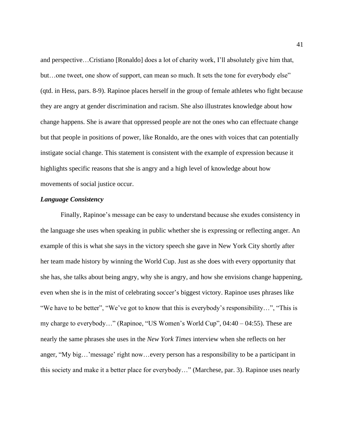and perspective…Cristiano [Ronaldo] does a lot of charity work, I'll absolutely give him that, but…one tweet, one show of support, can mean so much. It sets the tone for everybody else" (qtd. in Hess, pars. 8-9). Rapinoe places herself in the group of female athletes who fight because they are angry at gender discrimination and racism. She also illustrates knowledge about how change happens. She is aware that oppressed people are not the ones who can effectuate change but that people in positions of power, like Ronaldo, are the ones with voices that can potentially instigate social change. This statement is consistent with the example of expression because it highlights specific reasons that she is angry and a high level of knowledge about how movements of social justice occur.

#### *Language Consistency*

Finally, Rapinoe's message can be easy to understand because she exudes consistency in the language she uses when speaking in public whether she is expressing or reflecting anger. An example of this is what she says in the victory speech she gave in New York City shortly after her team made history by winning the World Cup. Just as she does with every opportunity that she has, she talks about being angry, why she is angry, and how she envisions change happening, even when she is in the mist of celebrating soccer's biggest victory. Rapinoe uses phrases like "We have to be better", "We've got to know that this is everybody's responsibility…", "This is my charge to everybody…" (Rapinoe, "US Women's World Cup", 04:40 – 04:55). These are nearly the same phrases she uses in the *New York Times* interview when she reflects on her anger, "My big…'message' right now…every person has a responsibility to be a participant in this society and make it a better place for everybody…" (Marchese, par. 3). Rapinoe uses nearly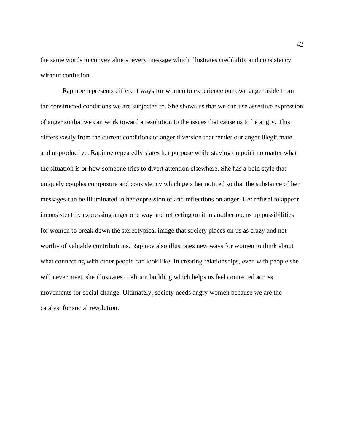the same words to convey almost every message which illustrates credibility and consistency without confusion.

Rapinoe represents different ways for women to experience our own anger aside from the constructed conditions we are subjected to. She shows us that we can use assertive expression of anger so that we can work toward a resolution to the issues that cause us to be angry. This differs vastly from the current conditions of anger diversion that render our anger illegitimate and unproductive. Rapinoe repeatedly states her purpose while staying on point no matter what the situation is or how someone tries to divert attention elsewhere. She has a bold style that uniquely couples composure and consistency which gets her noticed so that the substance of her messages can be illuminated in her expression of and reflections on anger. Her refusal to appear inconsistent by expressing anger one way and reflecting on it in another opens up possibilities for women to break down the stereotypical image that society places on us as crazy and not worthy of valuable contributions. Rapinoe also illustrates new ways for women to think about what connecting with other people can look like. In creating relationships, even with people she will never meet, she illustrates coalition building which helps us feel connected across movements for social change. Ultimately, society needs angry women because we are the catalyst for social revolution.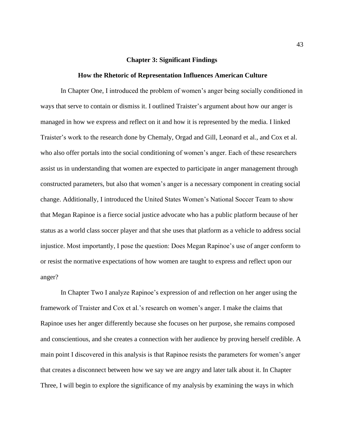#### **Chapter 3: Significant Findings**

#### **How the Rhetoric of Representation Influences American Culture**

In Chapter One, I introduced the problem of women's anger being socially conditioned in ways that serve to contain or dismiss it. I outlined Traister's argument about how our anger is managed in how we express and reflect on it and how it is represented by the media. I linked Traister's work to the research done by Chemaly, Orgad and Gill, Leonard et al., and Cox et al. who also offer portals into the social conditioning of women's anger. Each of these researchers assist us in understanding that women are expected to participate in anger management through constructed parameters, but also that women's anger is a necessary component in creating social change. Additionally, I introduced the United States Women's National Soccer Team to show that Megan Rapinoe is a fierce social justice advocate who has a public platform because of her status as a world class soccer player and that she uses that platform as a vehicle to address social injustice. Most importantly, I pose the question: Does Megan Rapinoe's use of anger conform to or resist the normative expectations of how women are taught to express and reflect upon our anger?

In Chapter Two I analyze Rapinoe's expression of and reflection on her anger using the framework of Traister and Cox et al.'s research on women's anger. I make the claims that Rapinoe uses her anger differently because she focuses on her purpose, she remains composed and conscientious, and she creates a connection with her audience by proving herself credible. A main point I discovered in this analysis is that Rapinoe resists the parameters for women's anger that creates a disconnect between how we say we are angry and later talk about it. In Chapter Three, I will begin to explore the significance of my analysis by examining the ways in which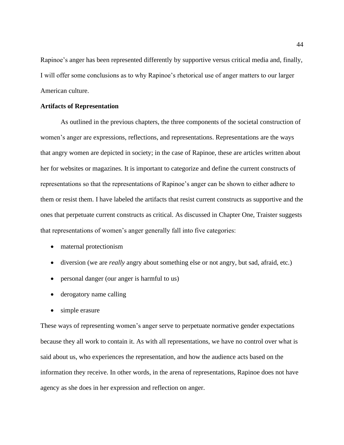Rapinoe's anger has been represented differently by supportive versus critical media and, finally, I will offer some conclusions as to why Rapinoe's rhetorical use of anger matters to our larger American culture.

#### **Artifacts of Representation**

As outlined in the previous chapters, the three components of the societal construction of women's anger are expressions, reflections, and representations. Representations are the ways that angry women are depicted in society; in the case of Rapinoe, these are articles written about her for websites or magazines. It is important to categorize and define the current constructs of representations so that the representations of Rapinoe's anger can be shown to either adhere to them or resist them. I have labeled the artifacts that resist current constructs as supportive and the ones that perpetuate current constructs as critical. As discussed in Chapter One, Traister suggests that representations of women's anger generally fall into five categories:

- maternal protectionism
- diversion (we are *really* angry about something else or not angry, but sad, afraid, etc.)
- personal danger (our anger is harmful to us)
- derogatory name calling
- simple erasure

These ways of representing women's anger serve to perpetuate normative gender expectations because they all work to contain it. As with all representations, we have no control over what is said about us, who experiences the representation, and how the audience acts based on the information they receive. In other words, in the arena of representations, Rapinoe does not have agency as she does in her expression and reflection on anger.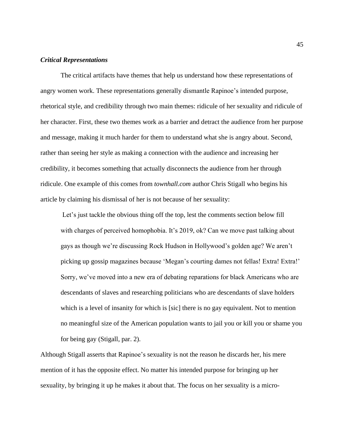#### *Critical Representations*

The critical artifacts have themes that help us understand how these representations of angry women work. These representations generally dismantle Rapinoe's intended purpose, rhetorical style, and credibility through two main themes: ridicule of her sexuality and ridicule of her character. First, these two themes work as a barrier and detract the audience from her purpose and message, making it much harder for them to understand what she is angry about. Second, rather than seeing her style as making a connection with the audience and increasing her credibility, it becomes something that actually disconnects the audience from her through ridicule. One example of this comes from *townhall.com* author Chris Stigall who begins his article by claiming his dismissal of her is not because of her sexuality:

Let's just tackle the obvious thing off the top, lest the comments section below fill with charges of perceived homophobia. It's 2019, ok? Can we move past talking about gays as though we're discussing Rock Hudson in Hollywood's golden age? We aren't picking up gossip magazines because 'Megan's courting dames not fellas! Extra! Extra!' Sorry, we've moved into a new era of debating reparations for black Americans who are descendants of slaves and researching politicians who are descendants of slave holders which is a level of insanity for which is [sic] there is no gay equivalent. Not to mention no meaningful size of the American population wants to jail you or kill you or shame you for being gay (Stigall, par. 2).

Although Stigall asserts that Rapinoe's sexuality is not the reason he discards her, his mere mention of it has the opposite effect. No matter his intended purpose for bringing up her sexuality, by bringing it up he makes it about that. The focus on her sexuality is a micro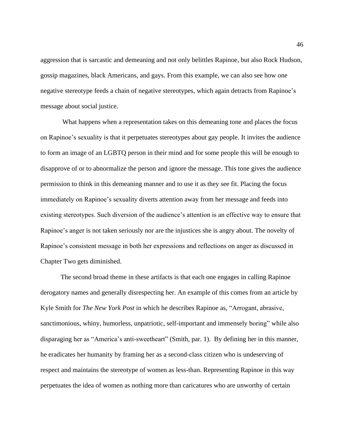aggression that is sarcastic and demeaning and not only belittles Rapinoe, but also Rock Hudson, gossip magazines, black Americans, and gays. From this example, we can also see how one negative stereotype feeds a chain of negative stereotypes, which again detracts from Rapinoe's message about social justice.

What happens when a representation takes on this demeaning tone and places the focus on Rapinoe's sexuality is that it perpetuates stereotypes about gay people. It invites the audience to form an image of an LGBTQ person in their mind and for some people this will be enough to disapprove of or to abnormalize the person and ignore the message. This tone gives the audience permission to think in this demeaning manner and to use it as they see fit. Placing the focus immediately on Rapinoe's sexuality diverts attention away from her message and feeds into existing stereotypes. Such diversion of the audience's attention is an effective way to ensure that Rapinoe's anger is not taken seriously nor are the injustices she is angry about. The novelty of Rapinoe's consistent message in both her expressions and reflections on anger as discussed in Chapter Two gets diminished.

The second broad theme in these artifacts is that each one engages in calling Rapinoe derogatory names and generally disrespecting her. An example of this comes from an article by Kyle Smith for *The New York Post* in which he describes Rapinoe as, "Arrogant, abrasive, sanctimonious, whiny, humorless, unpatriotic, self-important and immensely boring" while also disparaging her as "America's anti-sweetheart" (Smith, par. 1). By defining her in this manner, he eradicates her humanity by framing her as a second-class citizen who is undeserving of respect and maintains the stereotype of women as less-than. Representing Rapinoe in this way perpetuates the idea of women as nothing more than caricatures who are unworthy of certain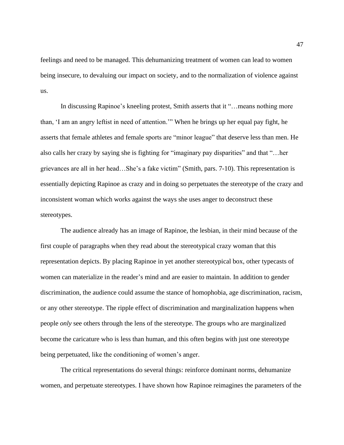feelings and need to be managed. This dehumanizing treatment of women can lead to women being insecure, to devaluing our impact on society, and to the normalization of violence against us.

In discussing Rapinoe's kneeling protest, Smith asserts that it "…means nothing more than, 'I am an angry leftist in need of attention.'" When he brings up her equal pay fight, he asserts that female athletes and female sports are "minor league" that deserve less than men. He also calls her crazy by saying she is fighting for "imaginary pay disparities" and that "…her grievances are all in her head…She's a fake victim" (Smith, pars. 7-10). This representation is essentially depicting Rapinoe as crazy and in doing so perpetuates the stereotype of the crazy and inconsistent woman which works against the ways she uses anger to deconstruct these stereotypes.

The audience already has an image of Rapinoe, the lesbian, in their mind because of the first couple of paragraphs when they read about the stereotypical crazy woman that this representation depicts. By placing Rapinoe in yet another stereotypical box, other typecasts of women can materialize in the reader's mind and are easier to maintain. In addition to gender discrimination, the audience could assume the stance of homophobia, age discrimination, racism, or any other stereotype. The ripple effect of discrimination and marginalization happens when people *only* see others through the lens of the stereotype. The groups who are marginalized become the caricature who is less than human, and this often begins with just one stereotype being perpetuated, like the conditioning of women's anger.

The critical representations do several things: reinforce dominant norms, dehumanize women, and perpetuate stereotypes. I have shown how Rapinoe reimagines the parameters of the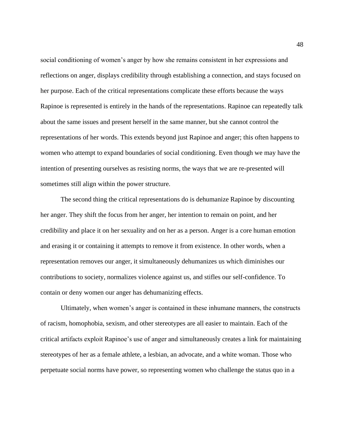social conditioning of women's anger by how she remains consistent in her expressions and reflections on anger, displays credibility through establishing a connection, and stays focused on her purpose. Each of the critical representations complicate these efforts because the ways Rapinoe is represented is entirely in the hands of the representations. Rapinoe can repeatedly talk about the same issues and present herself in the same manner, but she cannot control the representations of her words. This extends beyond just Rapinoe and anger; this often happens to women who attempt to expand boundaries of social conditioning. Even though we may have the intention of presenting ourselves as resisting norms, the ways that we are re-presented will sometimes still align within the power structure.

The second thing the critical representations do is dehumanize Rapinoe by discounting her anger. They shift the focus from her anger, her intention to remain on point, and her credibility and place it on her sexuality and on her as a person. Anger is a core human emotion and erasing it or containing it attempts to remove it from existence. In other words, when a representation removes our anger, it simultaneously dehumanizes us which diminishes our contributions to society, normalizes violence against us, and stifles our self-confidence. To contain or deny women our anger has dehumanizing effects.

Ultimately, when women's anger is contained in these inhumane manners, the constructs of racism, homophobia, sexism, and other stereotypes are all easier to maintain. Each of the critical artifacts exploit Rapinoe's use of anger and simultaneously creates a link for maintaining stereotypes of her as a female athlete, a lesbian, an advocate, and a white woman. Those who perpetuate social norms have power, so representing women who challenge the status quo in a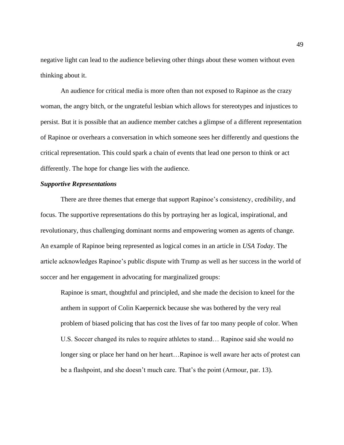negative light can lead to the audience believing other things about these women without even thinking about it.

An audience for critical media is more often than not exposed to Rapinoe as the crazy woman, the angry bitch, or the ungrateful lesbian which allows for stereotypes and injustices to persist. But it is possible that an audience member catches a glimpse of a different representation of Rapinoe or overhears a conversation in which someone sees her differently and questions the critical representation. This could spark a chain of events that lead one person to think or act differently. The hope for change lies with the audience.

#### *Supportive Representations*

There are three themes that emerge that support Rapinoe's consistency, credibility, and focus. The supportive representations do this by portraying her as logical, inspirational, and revolutionary, thus challenging dominant norms and empowering women as agents of change. An example of Rapinoe being represented as logical comes in an article in *USA Today*. The article acknowledges Rapinoe's public dispute with Trump as well as her success in the world of soccer and her engagement in advocating for marginalized groups:

Rapinoe is smart, thoughtful and principled, and she made the decision to kneel for the anthem in support of Colin Kaepernick because she was bothered by the very real problem of biased policing that has cost the lives of far too many people of color. When U.S. Soccer changed its rules to require athletes to stand… Rapinoe said she would no longer sing or place her hand on her heart…Rapinoe is well aware her acts of protest can be a flashpoint, and she doesn't much care. That's the point (Armour, par. 13).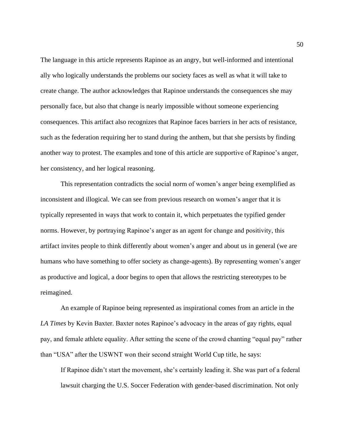The language in this article represents Rapinoe as an angry, but well-informed and intentional ally who logically understands the problems our society faces as well as what it will take to create change. The author acknowledges that Rapinoe understands the consequences she may personally face, but also that change is nearly impossible without someone experiencing consequences. This artifact also recognizes that Rapinoe faces barriers in her acts of resistance, such as the federation requiring her to stand during the anthem, but that she persists by finding another way to protest. The examples and tone of this article are supportive of Rapinoe's anger, her consistency, and her logical reasoning.

This representation contradicts the social norm of women's anger being exemplified as inconsistent and illogical. We can see from previous research on women's anger that it is typically represented in ways that work to contain it, which perpetuates the typified gender norms. However, by portraying Rapinoe's anger as an agent for change and positivity, this artifact invites people to think differently about women's anger and about us in general (we are humans who have something to offer society as change-agents). By representing women's anger as productive and logical, a door begins to open that allows the restricting stereotypes to be reimagined.

An example of Rapinoe being represented as inspirational comes from an article in the *LA Times* by Kevin Baxter. Baxter notes Rapinoe's advocacy in the areas of gay rights, equal pay, and female athlete equality. After setting the scene of the crowd chanting "equal pay" rather than "USA" after the USWNT won their second straight World Cup title, he says:

If Rapinoe didn't start the movement, she's certainly leading it. She was part of a federal lawsuit charging the U.S. Soccer Federation with gender-based discrimination. Not only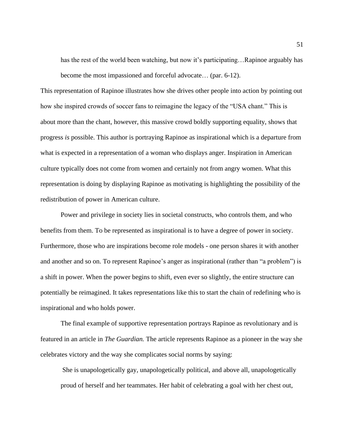has the rest of the world been watching, but now it's participating...Rapinoe arguably has become the most impassioned and forceful advocate… (par. 6-12).

This representation of Rapinoe illustrates how she drives other people into action by pointing out how she inspired crowds of soccer fans to reimagine the legacy of the "USA chant." This is about more than the chant, however, this massive crowd boldly supporting equality, shows that progress *is* possible. This author is portraying Rapinoe as inspirational which is a departure from what is expected in a representation of a woman who displays anger. Inspiration in American culture typically does not come from women and certainly not from angry women. What this representation is doing by displaying Rapinoe as motivating is highlighting the possibility of the redistribution of power in American culture.

Power and privilege in society lies in societal constructs, who controls them, and who benefits from them. To be represented as inspirational is to have a degree of power in society. Furthermore, those who are inspirations become role models - one person shares it with another and another and so on. To represent Rapinoe's anger as inspirational (rather than "a problem") is a shift in power. When the power begins to shift, even ever so slightly, the entire structure can potentially be reimagined. It takes representations like this to start the chain of redefining who is inspirational and who holds power.

The final example of supportive representation portrays Rapinoe as revolutionary and is featured in an article in *The Guardian.* The article represents Rapinoe as a pioneer in the way she celebrates victory and the way she complicates social norms by saying:

She is unapologetically gay, unapologetically political, and above all, unapologetically proud of herself and her teammates. Her habit of celebrating a goal with her chest out,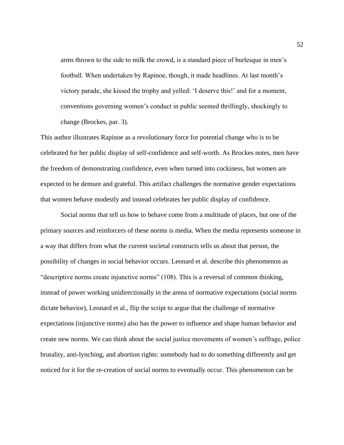arms thrown to the side to milk the crowd, is a standard piece of burlesque in men's football. When undertaken by Rapinoe, though, it made headlines. At last month's victory parade, she kissed the trophy and yelled: 'I deserve this!' and for a moment, conventions governing women's conduct in public seemed thrillingly, shockingly to change (Brockes, par. 3).

This author illustrates Rapinoe as a revolutionary force for potential change who is to be celebrated for her public display of self-confidence and self-worth. As Brockes notes, men have the freedom of demonstrating confidence, even when turned into cockiness, but women are expected to be demure and grateful. This artifact challenges the normative gender expectations that women behave modestly and instead celebrates her public display of confidence.

Social norms that tell us how to behave come from a multitude of places, but one of the primary sources and reinforcers of these norms is media. When the media represents someone in a way that differs from what the current societal constructs tells us about that person, the possibility of changes in social behavior occurs. Leonard et al. describe this phenomenon as "descriptive norms create injunctive norms" (108). This is a reversal of common thinking, instead of power working unidirectionally in the arena of normative expectations (social norms dictate behavior), Leonard et al., flip the script to argue that the challenge of normative expectations (injunctive norms) also has the power to influence and shape human behavior and create new norms. We can think about the social justice movements of women's suffrage, police brutality, anti-lynching, and abortion rights: somebody had to do something differently and get noticed for it for the re-creation of social norms to eventually occur. This phenomenon can be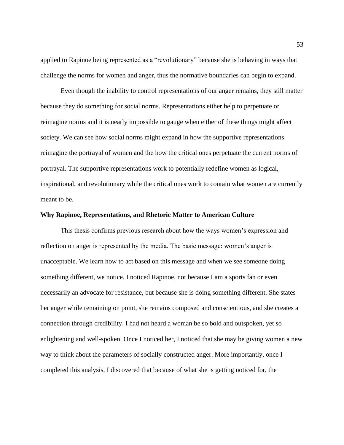applied to Rapinoe being represented as a "revolutionary" because she is behaving in ways that challenge the norms for women and anger, thus the normative boundaries can begin to expand.

Even though the inability to control representations of our anger remains, they still matter because they do something for social norms. Representations either help to perpetuate or reimagine norms and it is nearly impossible to gauge when either of these things might affect society. We can see how social norms might expand in how the supportive representations reimagine the portrayal of women and the how the critical ones perpetuate the current norms of portrayal. The supportive representations work to potentially redefine women as logical, inspirational, and revolutionary while the critical ones work to contain what women are currently meant to be.

#### **Why Rapinoe, Representations, and Rhetoric Matter to American Culture**

This thesis confirms previous research about how the ways women's expression and reflection on anger is represented by the media. The basic message: women's anger is unacceptable. We learn how to act based on this message and when we see someone doing something different, we notice. I noticed Rapinoe, not because I am a sports fan or even necessarily an advocate for resistance, but because she is doing something different. She states her anger while remaining on point, she remains composed and conscientious, and she creates a connection through credibility. I had not heard a woman be so bold and outspoken, yet so enlightening and well-spoken. Once I noticed her, I noticed that she may be giving women a new way to think about the parameters of socially constructed anger. More importantly, once I completed this analysis, I discovered that because of what she is getting noticed for, the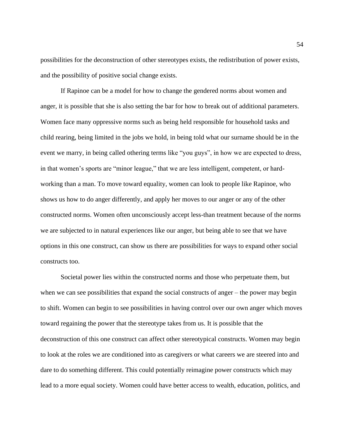possibilities for the deconstruction of other stereotypes exists, the redistribution of power exists, and the possibility of positive social change exists.

If Rapinoe can be a model for how to change the gendered norms about women and anger, it is possible that she is also setting the bar for how to break out of additional parameters. Women face many oppressive norms such as being held responsible for household tasks and child rearing, being limited in the jobs we hold, in being told what our surname should be in the event we marry, in being called othering terms like "you guys", in how we are expected to dress, in that women's sports are "minor league," that we are less intelligent, competent, or hardworking than a man. To move toward equality, women can look to people like Rapinoe, who shows us how to do anger differently, and apply her moves to our anger or any of the other constructed norms. Women often unconsciously accept less-than treatment because of the norms we are subjected to in natural experiences like our anger, but being able to see that we have options in this one construct, can show us there are possibilities for ways to expand other social constructs too.

Societal power lies within the constructed norms and those who perpetuate them, but when we can see possibilities that expand the social constructs of anger – the power may begin to shift. Women can begin to see possibilities in having control over our own anger which moves toward regaining the power that the stereotype takes from us. It is possible that the deconstruction of this one construct can affect other stereotypical constructs. Women may begin to look at the roles we are conditioned into as caregivers or what careers we are steered into and dare to do something different. This could potentially reimagine power constructs which may lead to a more equal society. Women could have better access to wealth, education, politics, and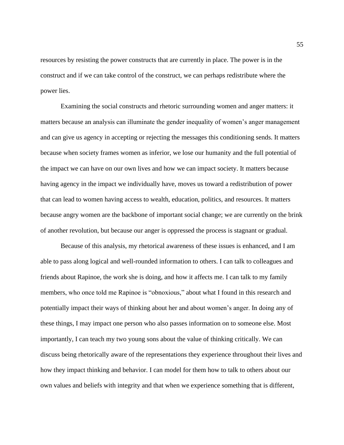resources by resisting the power constructs that are currently in place. The power is in the construct and if we can take control of the construct, we can perhaps redistribute where the power lies.

Examining the social constructs and rhetoric surrounding women and anger matters: it matters because an analysis can illuminate the gender inequality of women's anger management and can give us agency in accepting or rejecting the messages this conditioning sends. It matters because when society frames women as inferior, we lose our humanity and the full potential of the impact we can have on our own lives and how we can impact society. It matters because having agency in the impact we individually have, moves us toward a redistribution of power that can lead to women having access to wealth, education, politics, and resources. It matters because angry women are the backbone of important social change; we are currently on the brink of another revolution, but because our anger is oppressed the process is stagnant or gradual.

Because of this analysis, my rhetorical awareness of these issues is enhanced, and I am able to pass along logical and well-rounded information to others. I can talk to colleagues and friends about Rapinoe, the work she is doing, and how it affects me. I can talk to my family members, who once told me Rapinoe is "obnoxious," about what I found in this research and potentially impact their ways of thinking about her and about women's anger. In doing any of these things, I may impact one person who also passes information on to someone else. Most importantly, I can teach my two young sons about the value of thinking critically. We can discuss being rhetorically aware of the representations they experience throughout their lives and how they impact thinking and behavior. I can model for them how to talk to others about our own values and beliefs with integrity and that when we experience something that is different,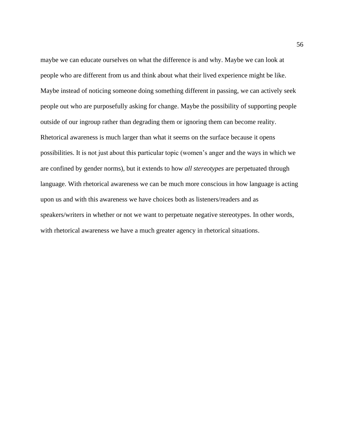maybe we can educate ourselves on what the difference is and why. Maybe we can look at people who are different from us and think about what their lived experience might be like. Maybe instead of noticing someone doing something different in passing, we can actively seek people out who are purposefully asking for change. Maybe the possibility of supporting people outside of our ingroup rather than degrading them or ignoring them can become reality. Rhetorical awareness is much larger than what it seems on the surface because it opens possibilities. It is not just about this particular topic (women's anger and the ways in which we are confined by gender norms), but it extends to how *all stereotypes* are perpetuated through language. With rhetorical awareness we can be much more conscious in how language is acting upon us and with this awareness we have choices both as listeners/readers and as speakers/writers in whether or not we want to perpetuate negative stereotypes. In other words, with rhetorical awareness we have a much greater agency in rhetorical situations.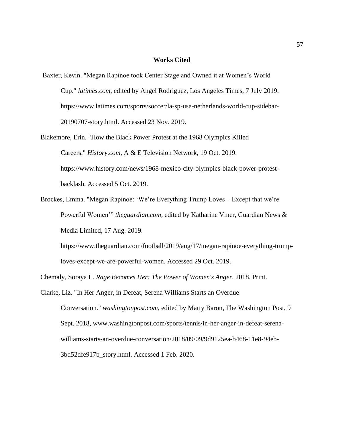#### **Works Cited**

- Baxter, Kevin. "Megan Rapinoe took Center Stage and Owned it at Women's World Cup." *latimes.com*, edited by Angel Rodriguez, Los Angeles Times, 7 July 2019. [https://www.latimes.com/sports/soccer/la-sp-usa-netherlands-world-cup-sidebar-](https://www.latimes.com/sports/soccer/la-sp-usa-netherlands-world-cup-sidebar-%0920190707-story.html)[20190707-story.html.](https://www.latimes.com/sports/soccer/la-sp-usa-netherlands-world-cup-sidebar-%0920190707-story.html) Accessed 23 Nov. 2019.
- Blakemore, Erin. "How the Black Power Protest at the 1968 Olympics Killed Careers." *History.com*, A & E Television Network, 19 Oct. 2019. [https://www.history.com/news/1968-mexico-city-olympics-black-power-protest](https://www.history.com/news/1968-mexico-city-olympics-black-power-protest-backlash)[backlash.](https://www.history.com/news/1968-mexico-city-olympics-black-power-protest-backlash) Accessed 5 Oct. 2019.
- Brockes, Emma. "Megan Rapinoe: 'We're Everything Trump Loves Except that we're Powerful Women'" *theguardian.com*, edited by Katharine Viner, Guardian News & Media Limited, 17 Aug. 2019.

[https://www.theguardian.com/football/2019/aug/17/megan-rapinoe-everything-trump](https://www.theguardian.com/football/2019/aug/17/megan-rapinoe-everything-trump-%09loves-except-we-are-powerful-women)[loves-except-we-are-powerful-women.](https://www.theguardian.com/football/2019/aug/17/megan-rapinoe-everything-trump-%09loves-except-we-are-powerful-women) Accessed 29 Oct. 2019.

Chemaly, Soraya L. *Rage Becomes Her: The Power of Women's Anger*. 2018. Print.

Clarke, Liz. "In Her Anger, in Defeat, Serena Williams Starts an Overdue Conversation." *washingtonpost.com*, edited by Marty Baron, The Washington Post, 9 Sept. 2018, [www.washingtonpost.com/sports/tennis/in-her-anger-in-defeat-serena](http://www.washingtonpost.com/sports/tennis/in-her-anger-in-defeat-serena-)williams-starts-an-overdue-conversation/2018/09/09/9d9125ea-b468-11e8-94eb-3bd52dfe917b\_story.html. Accessed 1 Feb. 2020.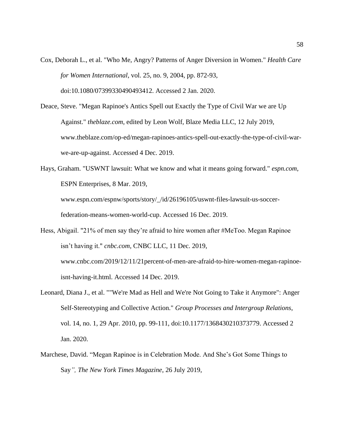- Cox, Deborah L., et al. "Who Me, Angry? Patterns of Anger Diversion in Women." *Health Care for Women International*, vol. 25, no. 9, 2004, pp. 872-93, doi:10.1080/07399330490493412. Accessed 2 Jan. 2020.
- Deace, Steve. "Megan Rapinoe's Antics Spell out Exactly the Type of Civil War we are Up Against." *theblaze.com*, edited by Leon Wolf, Blaze Media LLC, 12 July 2019, [www.theblaze.com/op-ed/megan-rapinoes-antics-spell-out-exactly-the-type-of-civil-war](http://www.theblaze.com/op-ed/megan-rapinoes-antics-spell-out-exactly-the-type-of-civil-war-)we-are-up-against. Accessed 4 Dec. 2019.

Hays, Graham. "USWNT lawsuit: What we know and what it means going forward." *espn.com*, ESPN Enterprises, 8 Mar. 2019, [www.espn.com/espnw/sports/story/\\_/id/26196105/uswnt-files-lawsuit-us-soccer](http://www.espn.com/espnw/sports/story/_/id/26196105/uswnt-files-lawsuit-us-soccer-)federation-means-women-world-cup. Accessed 16 Dec. 2019.

- Hess, Abigail. "21% of men say they're afraid to hire women after #MeToo. Megan Rapinoe isn't having it." *cnbc.com*, CNBC LLC, 11 Dec. 2019, [www.cnbc.com/2019/12/11/21percent-of-men-are-afraid-to-hire-women-megan-rapinoe](http://www.cnbc.com/2019/12/11/21percent-of-men-are-afraid-to-hire-women-megan-rapinoe-)isnt-having-it.html. Accessed 14 Dec. 2019.
- Leonard, Diana J., et al. ""We're Mad as Hell and We're Not Going to Take it Anymore": Anger Self-Stereotyping and Collective Action." *Group Processes and Intergroup Relations*, vol. 14, no. 1, 29 Apr. 2010, pp. 99-111, doi:10.1177/1368430210373779. Accessed 2 Jan. 2020.
- Marchese, David. "Megan Rapinoe is in Celebration Mode. And She's Got Some Things to Say*", The New York Times Magazine*, 26 July 2019,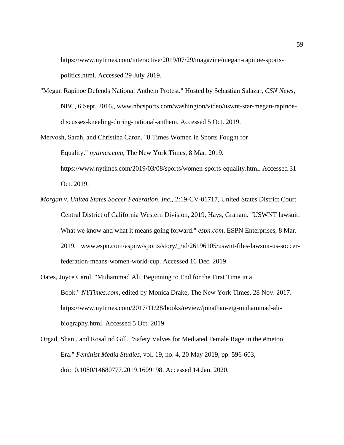[https://www.nytimes.com/interactive/2019/07/29/magazine/megan-rapinoe-sports](https://www.nytimes.com/interactive/2019/07/29/magazine/megan-rapinoe-sports-%09politics.html)[politics.html.](https://www.nytimes.com/interactive/2019/07/29/magazine/megan-rapinoe-sports-%09politics.html) Accessed 29 July 2019.

- "Megan Rapinoe Defends National Anthem Protest." Hosted by Sebastian Salazar, *CSN News*, NBC, 6 Sept. 2016., [www.nbcsports.com/washington/video/uswnt-star-megan-rapinoe](http://www.nbcsports.com/washington/video/uswnt-star-megan-rapinoe-)discusses-kneeling-during-national-anthem. Accessed 5 Oct. 2019.
- Mervosh, Sarah, and Christina Caron. "8 Times Women in Sports Fought for Equality." *nytimes.com*, The New York Times, 8 Mar. 2019. [https://www.nytimes.com/2019/03/08/sports/women-sports-equality.html. Accessed 31](https://www.nytimes.com/2019/03/08/sports/women-sports-equality.html.%20Accessed%2031) Oct. 2019.
- *Morgan v. United States Soccer Federation, Inc.,* 2:19-CV-01717, United States District Court Central District of California Western Division, 2019, Hays, Graham. "USWNT lawsuit: What we know and what it means going forward." *espn.com*, ESPN Enterprises, 8 Mar. 2019, [www.espn.com/espnw/sports/story/\\_/id/26196105/uswnt-files-lawsuit-us-soccer](http://www.espn.com/espnw/sports/story/_/id/26196105/uswnt-files-lawsuit-us-soccer-)federation-means-women-world-cup. Accessed 16 Dec. 2019.
- Oates, Joyce Carol. "Muhammad Ali, Beginning to End for the First Time in a Book." *NYTimes.com*, edited by Monica Drake, The New York Times, 28 Nov. 2017. [https://www.nytimes.com/2017/11/28/books/review/jonathan-eig-muhammad-ali](https://www.nytimes.com/2017/11/28/books/review/jonathan-eig-muhammad-ali-%09biography.html)[biography.html.](https://www.nytimes.com/2017/11/28/books/review/jonathan-eig-muhammad-ali-%09biography.html) Accessed 5 Oct. 2019.
- Orgad, Shani, and Rosalind Gill. "Safety Valves for Mediated Female Rage in the #metoo Era." *Feminist Media Studies*, vol. 19, no. 4, 20 May 2019, pp. 596-603, doi:10.1080/14680777.2019.1609198. Accessed 14 Jan. 2020.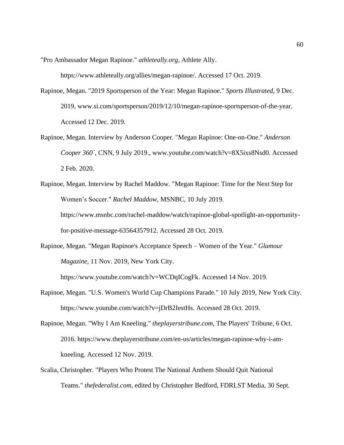"Pro Ambassador Megan Rapinoe." *athleteally.org*, Athlete Ally.

[https://www.athleteally.org/allies/megan-rapinoe/.](https://www.athleteally.org/allies/megan-rapinoe/) Accessed 17 Oct. 2019.

- Rapinoe, Megan. "2019 Sportsperson of the Year: Megan Rapinoe." *Sports Illustrated*, 9 Dec. 2019, [www.si.com/sportsperson/2019/12/10/megan-rapinoe-sportsperson-of-the-year.](http://www.si.com/sportsperson/2019/12/10/megan-rapinoe-sportsperson-of-the-year) Accessed 12 Dec. 2019.
- Rapinoe, Megan. Interview by Anderson Cooper. "Megan Rapinoe: One-on-One." *Anderson Cooper 360`*, CNN, 9 July 2019., www.youtube.com/watch?v=8X5ixs8Nsd0. Accessed 2 Feb. 2020.
- Rapinoe, Megan. Interview by Rachel Maddow. "Megan Rapinoe: Time for the Next Step for Women's Soccer." *Rachel Maddow*, MSNBC, 10 July 2019. [https://www.msnbc.com/rachel-maddow/watch/rapinoe-global-spotlight-an-opportunity](https://www.msnbc.com/rachel-maddow/watch/rapinoe-global-spotlight-an-opportunity-%09for-positive-message-63564357912)[for-positive-message-63564357912.](https://www.msnbc.com/rachel-maddow/watch/rapinoe-global-spotlight-an-opportunity-%09for-positive-message-63564357912) Accessed 28 Oct. 2019.
- Rapinoe, Megan. "Megan Rapinoe's Acceptance Speech Women of the Year." *Glamour Magazine,* 11 Nov. 2019, New York City.

[https://www.youtube.com/watch?v=WCDqICogFk.](https://www.youtube.com/watch?v=WCDqICogFk) Accessed 14 Nov. 2019.

- Rapinoe, Megan. "U.S. Women's World Cup Champions Parade." 10 July 2019, New York City. [https://www.youtube.com/watch?v=jDrB2IestHs.](https://www.youtube.com/watch?v=jDrB2IestHs) Accessed 28 Oct. 2019.
- Rapinoe, Megan. "Why I Am Kneeling." *theplayerstribune.com*, The Players' Tribune, 6 Oct. 2016. [https://www.theplayerstribune.com/en-us/articles/megan-rapinoe-why-i-am](https://www.theplayerstribune.com/en-us/articles/megan-rapinoe-why-i-am-%09kneeling)[kneeling.](https://www.theplayerstribune.com/en-us/articles/megan-rapinoe-why-i-am-%09kneeling) Accessed 12 Nov. 2019.
- Scalia, Christopher. "Players Who Protest The National Anthem Should Quit National Teams." *thefederalist.com*, edited by Christopher Bedford, FDRLST Media, 30 Sept.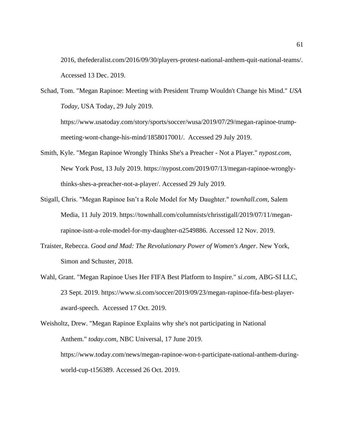2016, thefederalist.com/2016/09/30/players-protest-national-anthem-quit-national-teams/. Accessed 13 Dec. 2019.

Schad, Tom. "Megan Rapinoe: Meeting with President Trump Wouldn't Change his Mind." *USA Today*, USA Today, 29 July 2019. [https://www.usatoday.com/story/sports/soccer/wusa/2019/07/29/megan-rapinoe-trump](https://www.usatoday.com/story/sports/soccer/wusa/2019/07/29/megan-rapinoe-trump-%09meeting-wont-change-his-mind/1858017001/)[meeting-wont-change-his-mind/1858017001/.](https://www.usatoday.com/story/sports/soccer/wusa/2019/07/29/megan-rapinoe-trump-%09meeting-wont-change-his-mind/1858017001/) Accessed 29 July 2019.

- Smith, Kyle. "Megan Rapinoe Wrongly Thinks She's a Preacher Not a Player." *nypost.com*, New York Post, 13 July 2019. [https://nypost.com/2019/07/13/megan-rapinoe-wrongly](https://nypost.com/2019/07/13/megan-rapinoe-wrongly-%09%09thinks-shes-a-preacher-not-a-player/)[thinks-shes-a-preacher-not-a-player/.](https://nypost.com/2019/07/13/megan-rapinoe-wrongly-%09%09thinks-shes-a-preacher-not-a-player/) Accessed 29 July 2019.
- Stigall, Chris. "Megan Rapinoe Isn't a Role Model for My Daughter." *townhall.com*, Salem Media, 11 July 2019. [https://townhall.com/columnists/chrisstigall/2019/07/11/megan](https://townhall.com/columnists/chrisstigall/2019/07/11/megan-%09rapinoe-isnt-a-role-model-for-my-daughter-n2549886)[rapinoe-isnt-a-role-model-for-my-daughter-n2549886.](https://townhall.com/columnists/chrisstigall/2019/07/11/megan-%09rapinoe-isnt-a-role-model-for-my-daughter-n2549886) Accessed 12 Nov. 2019.
- Traister, Rebecca. *Good and Mad: The Revolutionary Power of Women's Anger*. New York, Simon and Schuster, 2018.
- Wahl, Grant. "Megan Rapinoe Uses Her FIFA Best Platform to Inspire." *si.com*, ABG-SI LLC, 23 Sept. 2019. [https://www.si.com/soccer/2019/09/23/megan-rapinoe-fifa-best-player](https://www.si.com/soccer/2019/09/23/megan-rapinoe-fifa-best-player-%09award-speech)[award-speech.](https://www.si.com/soccer/2019/09/23/megan-rapinoe-fifa-best-player-%09award-speech) Accessed 17 Oct. 2019.

Weisholtz, Drew. "Megan Rapinoe Explains why she's not participating in National Anthem." *today.com*, NBC Universal, 17 June 2019. [https://www.today.com/news/megan-rapinoe-won-t-participate-national-anthem-during](https://www.today.com/news/megan-rapinoe-won-t-participate-national-anthem-during-%09world-cup-t156389)[world-cup-t156389.](https://www.today.com/news/megan-rapinoe-won-t-participate-national-anthem-during-%09world-cup-t156389) Accessed 26 Oct. 2019.